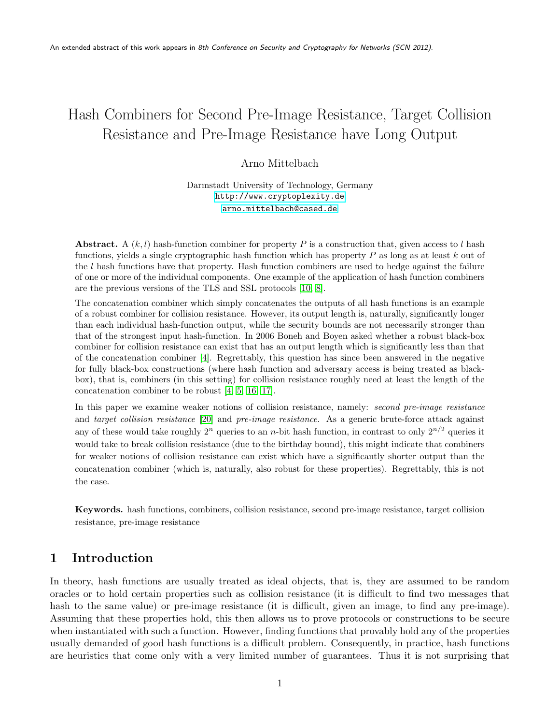# <span id="page-0-0"></span>Hash Combiners for Second Pre-Image Resistance, Target Collision Resistance and Pre-Image Resistance have Long Output

#### Arno Mittelbach

Darmstadt University of Technology, Germany <http://www.cryptoplexity.de> <arno.mittelbach@cased.de>

**Abstract.** A  $(k, l)$  hash-function combiner for property P is a construction that, given access to l hash functions, yields a single cryptographic hash function which has property  $P$  as long as at least  $k$  out of the  $l$  hash functions have that property. Hash function combiners are used to hedge against the failure of one or more of the individual components. One example of the application of hash function combiners are the previous versions of the TLS and SSL protocols [\[10,](#page-15-0) [8\]](#page-15-1).

The concatenation combiner which simply concatenates the outputs of all hash functions is an example of a robust combiner for collision resistance. However, its output length is, naturally, significantly longer than each individual hash-function output, while the security bounds are not necessarily stronger than that of the strongest input hash-function. In 2006 Boneh and Boyen asked whether a robust black-box combiner for collision resistance can exist that has an output length which is significantly less than that of the concatenation combiner [\[4\]](#page-14-0). Regrettably, this question has since been answered in the negative for fully black-box constructions (where hash function and adversary access is being treated as blackbox), that is, combiners (in this setting) for collision resistance roughly need at least the length of the concatenation combiner to be robust [\[4,](#page-14-0) [5,](#page-15-2) [16,](#page-15-3) [17\]](#page-15-4).

In this paper we examine weaker notions of collision resistance, namely: second pre-image resistance and *target collision resistance* [\[20\]](#page-16-0) and *pre-image resistance*. As a generic brute-force attack against any of these would take roughly  $2^n$  queries to an n-bit hash function, in contrast to only  $2^{n/2}$  queries it would take to break collision resistance (due to the birthday bound), this might indicate that combiners for weaker notions of collision resistance can exist which have a significantly shorter output than the concatenation combiner (which is, naturally, also robust for these properties). Regrettably, this is not the case.

Keywords. hash functions, combiners, collision resistance, second pre-image resistance, target collision resistance, pre-image resistance

# 1 Introduction

In theory, hash functions are usually treated as ideal objects, that is, they are assumed to be random oracles or to hold certain properties such as collision resistance (it is difficult to find two messages that hash to the same value) or pre-image resistance (it is difficult, given an image, to find any pre-image). Assuming that these properties hold, this then allows us to prove protocols or constructions to be secure when instantiated with such a function. However, finding functions that provably hold any of the properties usually demanded of good hash functions is a difficult problem. Consequently, in practice, hash functions are heuristics that come only with a very limited number of guarantees. Thus it is not surprising that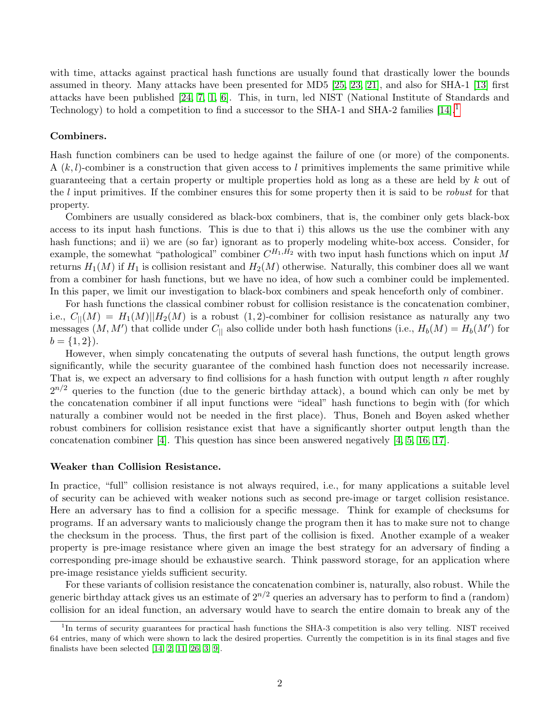<span id="page-1-1"></span>with time, attacks against practical hash functions are usually found that drastically lower the bounds assumed in theory. Many attacks have been presented for MD5 [\[25,](#page-16-1) [23,](#page-16-2) [21\]](#page-16-3), and also for SHA-1 [\[13\]](#page-15-5) first attacks have been published [\[24,](#page-16-4) [7,](#page-15-6) [1,](#page-14-1) [6\]](#page-15-7). This, in turn, led NIST (National Institute of Standards and Technology) to hold a competition to find a successor to the SHA-[1](#page-1-0) and SHA-2 families  $[14]$ .<sup>1</sup>

#### Combiners.

Hash function combiners can be used to hedge against the failure of one (or more) of the components. A  $(k, l)$ -combiner is a construction that given access to l primitives implements the same primitive while guaranteeing that a certain property or multiple properties hold as long as a these are held by  $k$  out of the l input primitives. If the combiner ensures this for some property then it is said to be robust for that property.

Combiners are usually considered as black-box combiners, that is, the combiner only gets black-box access to its input hash functions. This is due to that i) this allows us the use the combiner with any hash functions; and ii) we are (so far) ignorant as to properly modeling white-box access. Consider, for example, the somewhat "pathological" combiner  $C^{H_1,H_2}$  with two input hash functions which on input M returns  $H_1(M)$  if  $H_1$  is collision resistant and  $H_2(M)$  otherwise. Naturally, this combiner does all we want from a combiner for hash functions, but we have no idea, of how such a combiner could be implemented. In this paper, we limit our investigation to black-box combiners and speak henceforth only of combiner.

For hash functions the classical combiner robust for collision resistance is the concatenation combiner, i.e.,  $C_{\parallel}(M) = H_1(M) \parallel H_2(M)$  is a robust  $(1, 2)$ -combiner for collision resistance as naturally any two messages  $(M, M')$  that collide under  $C_{\parallel}$  also collide under both hash functions (i.e.,  $H_b(M) = H_b(M')$  for  $b = \{1, 2\}.$ 

However, when simply concatenating the outputs of several hash functions, the output length grows significantly, while the security guarantee of the combined hash function does not necessarily increase. That is, we expect an adversary to find collisions for a hash function with output length n after roughly  $2^{n/2}$  queries to the function (due to the generic birthday attack), a bound which can only be met by the concatenation combiner if all input functions were "ideal" hash functions to begin with (for which naturally a combiner would not be needed in the first place). Thus, Boneh and Boyen asked whether robust combiners for collision resistance exist that have a significantly shorter output length than the concatenation combiner [\[4\]](#page-14-0). This question has since been answered negatively [\[4,](#page-14-0) [5,](#page-15-2) [16,](#page-15-3) [17\]](#page-15-4).

#### Weaker than Collision Resistance.

In practice, "full" collision resistance is not always required, i.e., for many applications a suitable level of security can be achieved with weaker notions such as second pre-image or target collision resistance. Here an adversary has to find a collision for a specific message. Think for example of checksums for programs. If an adversary wants to maliciously change the program then it has to make sure not to change the checksum in the process. Thus, the first part of the collision is fixed. Another example of a weaker property is pre-image resistance where given an image the best strategy for an adversary of finding a corresponding pre-image should be exhaustive search. Think password storage, for an application where pre-image resistance yields sufficient security.

For these variants of collision resistance the concatenation combiner is, naturally, also robust. While the generic birthday attack gives us an estimate of  $2^{n/2}$  queries an adversary has to perform to find a (random) collision for an ideal function, an adversary would have to search the entire domain to break any of the

<span id="page-1-0"></span><sup>&</sup>lt;sup>1</sup>In terms of security guarantees for practical hash functions the SHA-3 competition is also very telling. NIST received 64 entries, many of which were shown to lack the desired properties. Currently the competition is in its final stages and five finalists have been selected  $[14, 2, 11, 26, 3, 9]$  $[14, 2, 11, 26, 3, 9]$  $[14, 2, 11, 26, 3, 9]$  $[14, 2, 11, 26, 3, 9]$  $[14, 2, 11, 26, 3, 9]$  $[14, 2, 11, 26, 3, 9]$ .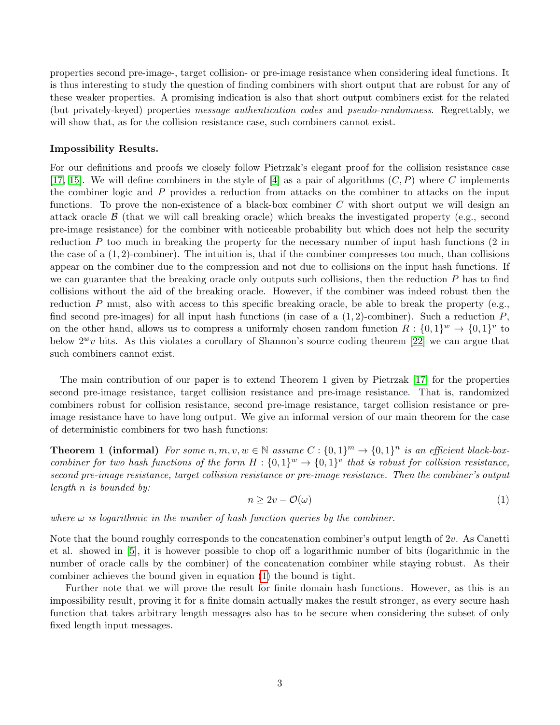<span id="page-2-2"></span>properties second pre-image-, target collision- or pre-image resistance when considering ideal functions. It is thus interesting to study the question of finding combiners with short output that are robust for any of these weaker properties. A promising indication is also that short output combiners exist for the related (but privately-keyed) properties message authentication codes and pseudo-randomness. Regrettably, we will show that, as for the collision resistance case, such combiners cannot exist.

#### Impossibility Results.

For our definitions and proofs we closely follow Pietrzak's elegant proof for the collision resistance case [\[17,](#page-15-4) [15\]](#page-15-11). We will define combiners in the style of [\[4\]](#page-14-0) as a pair of algorithms  $(C, P)$  where C implements the combiner logic and P provides a reduction from attacks on the combiner to attacks on the input functions. To prove the non-existence of a black-box combiner  $C$  with short output we will design an attack oracle  $\beta$  (that we will call breaking oracle) which breaks the investigated property (e.g., second pre-image resistance) for the combiner with noticeable probability but which does not help the security reduction  $P$  too much in breaking the property for the necessary number of input hash functions  $(2 \text{ in } 2)$ the case of a  $(1, 2)$ -combiner). The intuition is, that if the combiner compresses too much, than collisions appear on the combiner due to the compression and not due to collisions on the input hash functions. If we can guarantee that the breaking oracle only outputs such collisions, then the reduction  $P$  has to find collisions without the aid of the breaking oracle. However, if the combiner was indeed robust then the reduction P must, also with access to this specific breaking oracle, be able to break the property (e.g., find second pre-images) for all input hash functions (in case of a  $(1, 2)$ -combiner). Such a reduction  $P$ , on the other hand, allows us to compress a uniformly chosen random function  $R: \{0,1\}^w \to \{0,1\}^v$  to below  $2^w v$  bits. As this violates a corollary of Shannon's source coding theorem [\[22\]](#page-16-6) we can argue that such combiners cannot exist.

The main contribution of our paper is to extend Theorem 1 given by Pietrzak [\[17\]](#page-15-4) for the properties second pre-image resistance, target collision resistance and pre-image resistance. That is, randomized combiners robust for collision resistance, second pre-image resistance, target collision resistance or preimage resistance have to have long output. We give an informal version of our main theorem for the case of deterministic combiners for two hash functions:

**Theorem 1 (informal)** For some  $n, m, v, w \in \mathbb{N}$  assume  $C : \{0, 1\}^m \to \{0, 1\}^n$  is an efficient black-boxcombiner for two hash functions of the form  $H: \{0,1\}^w \to \{0,1\}^v$  that is robust for collision resistance, second pre-image resistance, target collision resistance or pre-image resistance. Then the combiner's output length n is bounded by:

<span id="page-2-1"></span><span id="page-2-0"></span>
$$
n \ge 2v - \mathcal{O}(\omega) \tag{1}
$$

where  $\omega$  is logarithmic in the number of hash function queries by the combiner.

Note that the bound roughly corresponds to the concatenation combiner's output length of 2v. As Canetti et al. showed in [\[5\]](#page-15-2), it is however possible to chop off a logarithmic number of bits (logarithmic in the number of oracle calls by the combiner) of the concatenation combiner while staying robust. As their combiner achieves the bound given in equation [\(1\)](#page-2-0) the bound is tight.

Further note that we will prove the result for finite domain hash functions. However, as this is an impossibility result, proving it for a finite domain actually makes the result stronger, as every secure hash function that takes arbitrary length messages also has to be secure when considering the subset of only fixed length input messages.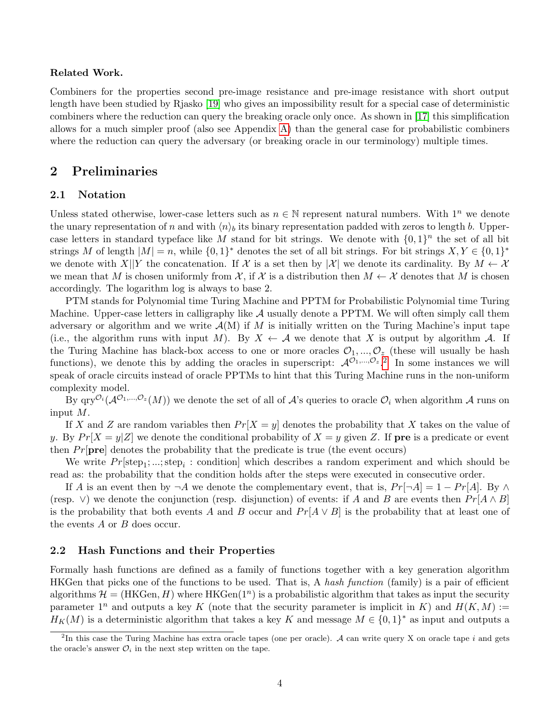#### <span id="page-3-1"></span>Related Work.

Combiners for the properties second pre-image resistance and pre-image resistance with short output length have been studied by Rjasko [\[19\]](#page-16-7) who gives an impossibility result for a special case of deterministic combiners where the reduction can query the breaking oracle only once. As shown in [\[17\]](#page-15-4) this simplification allows for a much simpler proof (also see Appendix [A\)](#page-17-0) than the general case for probabilistic combiners where the reduction can query the adversary (or breaking oracle in our terminology) multiple times.

## <span id="page-3-2"></span>2 Preliminaries

#### 2.1 Notation

Unless stated otherwise, lower-case letters such as  $n \in \mathbb{N}$  represent natural numbers. With  $1^n$  we denote the unary representation of n and with  $\langle n \rangle_b$  its binary representation padded with zeros to length b. Uppercase letters in standard typeface like M stand for bit strings. We denote with  $\{0,1\}^n$  the set of all bit strings M of length  $|M| = n$ , while  $\{0,1\}^*$  denotes the set of all bit strings. For bit strings  $X, Y \in \{0,1\}^*$ we denote with X||Y the concatenation. If X is a set then by |X| we denote its cardinality. By  $M \leftarrow \mathcal{X}$ we mean that M is chosen uniformly from  $\mathcal{X}$ , if X is a distribution then  $M \leftarrow \mathcal{X}$  denotes that M is chosen accordingly. The logarithm log is always to base 2.

PTM stands for Polynomial time Turing Machine and PPTM for Probabilistic Polynomial time Turing Machine. Upper-case letters in calligraphy like  $A$  usually denote a PPTM. We will often simply call them adversary or algorithm and we write  $\mathcal{A}(M)$  if M is initially written on the Turing Machine's input tape (i.e., the algorithm runs with input M). By  $X \leftarrow A$  we denote that X is output by algorithm A. If the Turing Machine has black-box access to one or more oracles  $\mathcal{O}_1, ..., \mathcal{O}_z$  (these will usually be hash functions), we denote this by adding the oracles in superscript:  $\mathcal{A}^{\mathcal{O}_1,\dots,\mathcal{O}_z}$ . In some instances we will speak of oracle circuits instead of oracle PPTMs to hint that this Turing Machine runs in the non-uniform complexity model.

By qry<sup> $\mathcal{O}_i(\mathcal{A}^{\mathcal{O}_1,\ldots,\mathcal{O}_z}(M))$  we denote the set of all of  $\mathcal{A}$ 's queries to oracle  $\mathcal{O}_i$  when algorithm  $\mathcal{A}$  runs on</sup> input M.

If X and Z are random variables then  $Pr[X = y]$  denotes the probability that X takes on the value of y. By  $Pr[X = y|Z]$  we denote the conditional probability of  $X = y$  given Z. If pre is a predicate or event then  $Pr[\text{pre}]$  denotes the probability that the predicate is true (the event occurs)

We write  $Pr[\text{step}_1; \dots; \text{step}_i : \text{condition}]$  which describes a random experiment and which should be read as: the probability that the condition holds after the steps were executed in consecutive order.

If A is an event then by  $\neg A$  we denote the complementary event, that is,  $Pr[\neg A] = 1 - Pr[A]$ . By  $\wedge$ (resp.  $\vee$ ) we denote the conjunction (resp. disjunction) of events: if A and B are events then  $Pr[A \wedge B]$ is the probability that both events A and B occur and  $Pr[A \vee B]$  is the probability that at least one of the events A or B does occur.

#### 2.2 Hash Functions and their Properties

Formally hash functions are defined as a family of functions together with a key generation algorithm HKGen that picks one of the functions to be used. That is, A hash function (family) is a pair of efficient algorithms  $\mathcal{H} = (HKGen, H)$  where  $HKGen(1^n)$  is a probabilistic algorithm that takes as input the security parameter  $1^n$  and outputs a key K (note that the security parameter is implicit in K) and  $H(K, M) :=$  $H_K(M)$  is a deterministic algorithm that takes a key K and message  $M \in \{0,1\}^*$  as input and outputs a

<span id="page-3-0"></span><sup>&</sup>lt;sup>2</sup>In this case the Turing Machine has extra oracle tapes (one per oracle). A can write query X on oracle tape i and gets the oracle's answer  $\mathcal{O}_i$  in the next step written on the tape.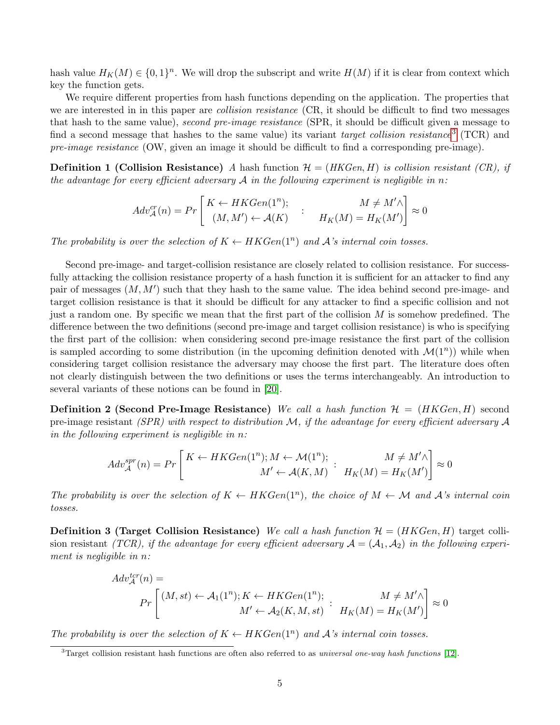<span id="page-4-1"></span>hash value  $H_K(M) \in \{0,1\}^n$ . We will drop the subscript and write  $H(M)$  if it is clear from context which key the function gets.

We require different properties from hash functions depending on the application. The properties that we are interested in in this paper are *collision resistance* (CR, it should be difficult to find two messages that hash to the same value), second pre-image resistance (SPR, it should be difficult given a message to find a second message that hashes to the same value) its variant *target collision resistance*<sup>[3](#page-4-0)</sup> (TCR) and pre-image resistance (OW, given an image it should be difficult to find a corresponding pre-image).

**Definition 1 (Collision Resistance)** A hash function  $\mathcal{H} = (HKGen, H)$  is collision resistant (CR), if the advantage for every efficient adversary A in the following experiment is negligible in n:

$$
Adv_{\mathcal{A}}^{cr}(n) = Pr\begin{bmatrix} K \leftarrow HKGen(1^n); & M \neq M' \wedge \\ (M, M') \leftarrow \mathcal{A}(K) & H_K(M) = H_K(M') \end{bmatrix} \approx 0
$$

The probability is over the selection of  $K \leftarrow HKGen(1^n)$  and A's internal coin tosses.

Second pre-image- and target-collision resistance are closely related to collision resistance. For successfully attacking the collision resistance property of a hash function it is sufficient for an attacker to find any pair of messages  $(M, M')$  such that they hash to the same value. The idea behind second pre-image- and target collision resistance is that it should be difficult for any attacker to find a specific collision and not just a random one. By specific we mean that the first part of the collision  $M$  is somehow predefined. The difference between the two definitions (second pre-image and target collision resistance) is who is specifying the first part of the collision: when considering second pre-image resistance the first part of the collision is sampled according to some distribution (in the upcoming definition denoted with  $\mathcal{M}(1^n)$ ) while when considering target collision resistance the adversary may choose the first part. The literature does often not clearly distinguish between the two definitions or uses the terms interchangeably. An introduction to several variants of these notions can be found in [\[20\]](#page-16-0).

**Definition 2 (Second Pre-Image Resistance)** We call a hash function  $\mathcal{H} = (HKGen, H)$  second pre-image resistant (SPR) with respect to distribution  $\mathcal{M}$ , if the advantage for every efficient adversary  $\mathcal{A}$ in the following experiment is negligible in  $n$ :

$$
Adv_{\mathcal{A}}^{spr}(n) = Pr\left[K \leftarrow HKGen(1^n); M \leftarrow \mathcal{M}(1^n); \quad M \neq M' \wedge \right] \approx 0
$$

$$
M' \leftarrow \mathcal{A}(K, M) : H_K(M) = H_K(M') \approx 0
$$

The probability is over the selection of  $K \leftarrow HKGen(1^n)$ , the choice of  $M \leftarrow M$  and A's internal coin tosses.

<span id="page-4-2"></span>**Definition 3 (Target Collision Resistance)** We call a hash function  $\mathcal{H} = (HKGen, H)$  target collision resistant (TCR), if the advantage for every efficient adversary  $A = (A_1, A_2)$  in the following experiment is negligible in n:

$$
Adv_{\mathcal{A}}^{ter}(n) =
$$
  
\n
$$
Pr\left[\begin{array}{c}(M, st) \leftarrow \mathcal{A}_1(1^n); K \leftarrow HKGen(1^n); \\M' \leftarrow \mathcal{A}_2(K, M, st) \end{array}:\begin{array}{c}M \neq M' \wedge \\ H_K(M) = H_K(M')\end{array}\right] \approx 0
$$

The probability is over the selection of  $K \leftarrow HKGen(1^n)$  and A's internal coin tosses.

<span id="page-4-0"></span> $3$ Target collision resistant hash functions are often also referred to as universal one-way hash functions [\[12\]](#page-15-12).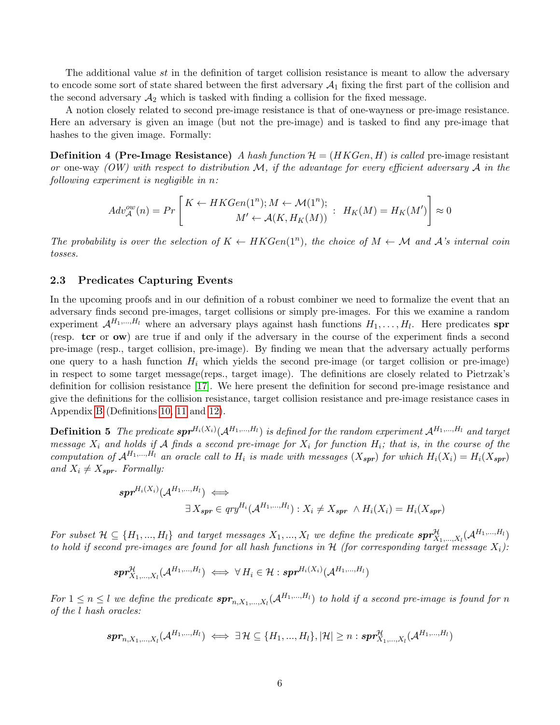<span id="page-5-0"></span>The additional value st in the definition of target collision resistance is meant to allow the adversary to encode some sort of state shared between the first adversary  $A_1$  fixing the first part of the collision and the second adversary  $A_2$  which is tasked with finding a collision for the fixed message.

A notion closely related to second pre-image resistance is that of one-wayness or pre-image resistance. Here an adversary is given an image (but not the pre-image) and is tasked to find any pre-image that hashes to the given image. Formally:

<span id="page-5-2"></span>**Definition 4 (Pre-Image Resistance)** A hash function  $\mathcal{H} = (HKGen, H)$  is called pre-image resistant or one-way  $(OW)$  with respect to distribution M, if the advantage for every efficient adversary A in the following experiment is negligible in n:

$$
Adv_{\mathcal{A}}^{ow}(n) = Pr\left[K \leftarrow HKGen(1^n); M \leftarrow \mathcal{M}(1^n); \quad H_K(M) = H_K(M')\right] \approx 0
$$

The probability is over the selection of  $K \leftarrow HKGen(1^n)$ , the choice of  $M \leftarrow M$  and A's internal coin tosses.

#### 2.3 Predicates Capturing Events

In the upcoming proofs and in our definition of a robust combiner we need to formalize the event that an adversary finds second pre-images, target collisions or simply pre-images. For this we examine a random experiment  $\mathcal{A}^{H_1,\dots,H_l}$  where an adversary plays against hash functions  $H_1,\dots,H_l$ . Here predicates spr (resp. tcr or ow) are true if and only if the adversary in the course of the experiment finds a second pre-image (resp., target collision, pre-image). By finding we mean that the adversary actually performs one query to a hash function  $H_i$  which yields the second pre-image (or target collision or pre-image) in respect to some target message(reps., target image). The definitions are closely related to Pietrzak's definition for collision resistance [\[17\]](#page-15-4). We here present the definition for second pre-image resistance and give the definitions for the collision resistance, target collision resistance and pre-image resistance cases in Appendix [B](#page-19-0) (Definitions [10,](#page-19-1) [11](#page-20-0) and [12\)](#page-20-1).

<span id="page-5-1"></span>**Definition 5** The predicate  $spr^{H_i(X_i)}(\mathcal{A}^{H_1,...,H_l})$  is defined for the random experiment  $\mathcal{A}^{H_1,...,H_l}$  and target message  $X_i$  and holds if A finds a second pre-image for  $X_i$  for function  $H_i$ ; that is, in the course of the computation of  $\mathcal{A}^{H_1,...,H_l}$  an oracle call to  $H_i$  is made with messages  $(X_{spr})$  for which  $H_i(X_i) = H_i(X_{spr})$ and  $X_i \neq X_{spr}$ . Formally:

$$
\mathbf{spr}^{H_i(X_i)}(\mathcal{A}^{H_1,\dots,H_l}) \iff
$$
  

$$
\exists X_{\mathbf{spr}} \in \mathit{qry}^{H_i}(\mathcal{A}^{H_1,\dots,H_l}) : X_i \neq X_{\mathbf{spr}} \land H_i(X_i) = H_i(X_{\mathbf{spr}})
$$

For subset  $\mathcal{H} \subseteq \{H_1, ..., H_l\}$  and target messages  $X_1, ..., X_l$  we define the predicate  $spr^{\mathcal{H}}_{X_1, ..., X_l}(\mathcal{A}^{H_1, ..., H_l})$ to hold if second pre-images are found for all hash functions in  $H$  (for corresponding target message  $X_i$ ):

$$
\textit{spr}^{\mathcal{H}}_{X_1,...,X_l}(\mathcal{A}^{H_1,...,H_l}) \iff \forall \, H_i \in \mathcal{H} : \textit{spr}^{H_i(X_i)}(\mathcal{A}^{H_1,...,H_l})
$$

For  $1 \leq n \leq l$  we define the predicate  $spr_{n,X_1,...,X_l}(A^{H_1,...,H_l})$  to hold if a second pre-image is found for n of the l hash oracles:

$$
\boldsymbol{spr}_{n,X_1,...,X_l}(\mathcal{A}^{H_1,...,H_l}) \iff \exists \mathcal{H} \subseteq \{H_1,...,H_l\}, |\mathcal{H}| \geq n : \boldsymbol{spr}^{\mathcal{H}}_{X_1,...,X_l}(\mathcal{A}^{H_1,...,H_l})
$$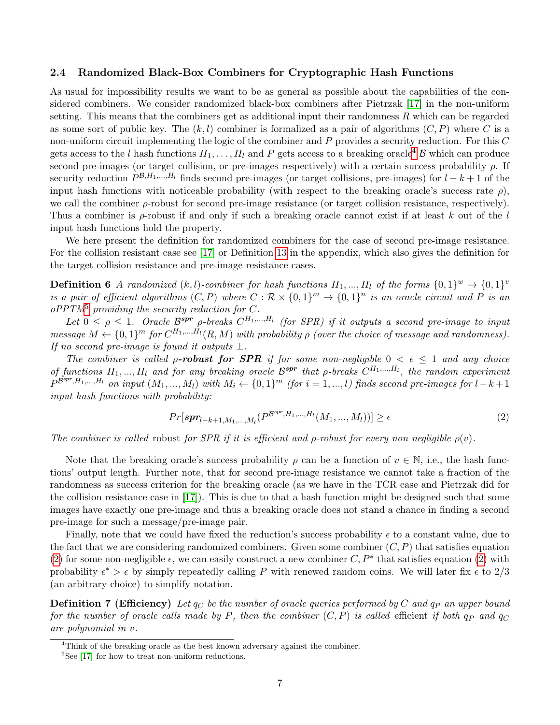#### <span id="page-6-5"></span>2.4 Randomized Black-Box Combiners for Cryptographic Hash Functions

As usual for impossibility results we want to be as general as possible about the capabilities of the considered combiners. We consider randomized black-box combiners after Pietrzak [\[17\]](#page-15-4) in the non-uniform setting. This means that the combiners get as additional input their randomness R which can be regarded as some sort of public key. The  $(k, l)$  combiner is formalized as a pair of algorithms  $(C, P)$  where C is a non-uniform circuit implementing the logic of the combiner and  $P$  provides a security reduction. For this  $C$ gets access to the l hash functions  $H_1, \ldots, H_l$  and P gets access to a breaking oracle<sup>[4](#page-6-0)</sup> B which can produce second pre-images (or target collision, or pre-images respectively) with a certain success probability  $\rho$ . If security reduction  $P^{(B,H_1,...,H_l)}$  finds second pre-images (or target collisions, pre-images) for  $l-k+1$  of the input hash functions with noticeable probability (with respect to the breaking oracle's success rate  $\rho$ ), we call the combiner ρ-robust for second pre-image resistance (or target collision resistance, respectively). Thus a combiner is  $\rho$ -robust if and only if such a breaking oracle cannot exist if at least k out of the l input hash functions hold the property.

We here present the definition for randomized combiners for the case of second pre-image resistance. For the collision resistant case see [\[17\]](#page-15-4) or Definition [13](#page-20-2) in the appendix, which also gives the definition for the target collision resistance and pre-image resistance cases.

<span id="page-6-3"></span>**Definition 6** A randomized  $(k, l)$ -combiner for hash functions  $H_1, ..., H_l$  of the forms  $\{0, 1\}^w \rightarrow \{0, 1\}^v$ is a pair of efficient algorithms  $(C, P)$  where  $C : \mathcal{R} \times \{0,1\}^m \to \{0,1\}^n$  is an oracle circuit and P is an  $oPPTM^5$  $oPPTM^5$  providing the security reduction for C.

Let  $0 \leq \rho \leq 1$ . Oracle  $\mathcal{B}^{spr}$  p-breaks  $C^{H_1,...,H_l}$  (for SPR) if it outputs a second pre-image to input message  $M \leftarrow \{0,1\}^m$  for  $C^{H_1,...,H_l}(R,M)$  with probability  $\rho$  (over the choice of message and randomness). If no second pre-image is found it outputs  $\bot$ .

The combiner is called  $\rho$ -robust for SPR if for some non-negligible  $0 < \epsilon \leq 1$  and any choice of functions  $H_1, ..., H_l$  and for any breaking oracle  $\mathcal{B}^{spr}$  that  $\rho$ -breaks  $C^{H_1,...,H_l}$ , the random experiment  $P^{B^{spr},H_1,...,H_l}$  on input  $(M_1,...,M_l)$  with  $M_i \leftarrow \{0,1\}^m$  (for  $i = 1,...,l$ ) finds second pre-images for  $l-k+1$ input hash functions with probability:

<span id="page-6-2"></span>
$$
Pr[\textit{spr}_{l-k+1,M_1,...,M_l}(P^{\mathcal{B}^{spr},H_1,...,H_l}(M_1,...,M_l))] \ge \epsilon
$$
\n(2)

The combiner is called robust for SPR if it is efficient and  $\rho$ -robust for every non negligible  $\rho(v)$ .

Note that the breaking oracle's success probability  $\rho$  can be a function of  $v \in \mathbb{N}$ , i.e., the hash functions' output length. Further note, that for second pre-image resistance we cannot take a fraction of the randomness as success criterion for the breaking oracle (as we have in the TCR case and Pietrzak did for the collision resistance case in [\[17\]](#page-15-4)). This is due to that a hash function might be designed such that some images have exactly one pre-image and thus a breaking oracle does not stand a chance in finding a second pre-image for such a message/pre-image pair.

Finally, note that we could have fixed the reduction's success probability  $\epsilon$  to a constant value, due to the fact that we are considering randomized combiners. Given some combiner  $(C, P)$  that satisfies equation [\(2\)](#page-6-2) for some non-negligible  $\epsilon$ , we can easily construct a new combiner  $C, P^*$  that satisfies equation [\(2\)](#page-6-2) with probability  $\epsilon^* > \epsilon$  by simply repeatedly calling P with renewed random coins. We will later fix  $\epsilon$  to 2/3 (an arbitrary choice) to simplify notation.

<span id="page-6-4"></span>**Definition 7 (Efficiency)** Let  $q_C$  be the number of oracle queries performed by C and  $q_P$  an upper bound for the number of oracle calls made by P, then the combiner  $(C, P)$  is called efficient if both  $q_P$  and  $q_C$ are polynomial in v.

<span id="page-6-0"></span><sup>4</sup>Think of the breaking oracle as the best known adversary against the combiner.

<span id="page-6-1"></span><sup>&</sup>lt;sup>5</sup>See [\[17\]](#page-15-4) for how to treat non-uniform reductions.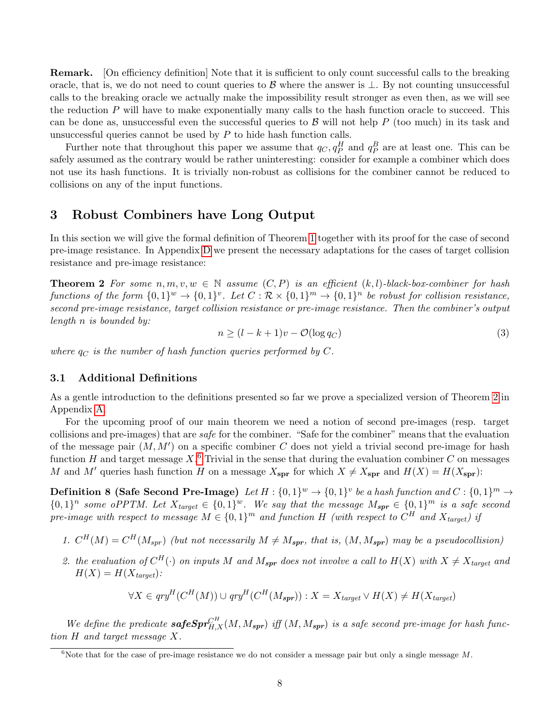Remark. [On efficiency definition] Note that it is sufficient to only count successful calls to the breaking oracle, that is, we do not need to count queries to B where the answer is  $\bot$ . By not counting unsuccessful calls to the breaking oracle we actually make the impossibility result stronger as even then, as we will see the reduction  $P$  will have to make exponentially many calls to the hash function oracle to succeed. This can be done as, unsuccessful even the successful queries to  $\mathcal{B}$  will not help P (too much) in its task and unsuccessful queries cannot be used by  $P$  to hide hash function calls.

Further note that throughout this paper we assume that  $q_C, q_P^H$  and  $q_P^B$  are at least one. This can be safely assumed as the contrary would be rather uninteresting: consider for example a combiner which does not use its hash functions. It is trivially non-robust as collisions for the combiner cannot be reduced to collisions on any of the input functions.

# <span id="page-7-4"></span>3 Robust Combiners have Long Output

In this section we will give the formal definition of Theorem [1](#page-2-1) together with its proof for the case of second pre-image resistance. In Appendix [D](#page-26-0) we present the necessary adaptations for the cases of target collision resistance and pre-image resistance:

<span id="page-7-0"></span>**Theorem 2** For some  $n, m, v, w \in \mathbb{N}$  assume  $(C, P)$  is an efficient  $(k, l)$ -black-box-combiner for hash functions of the form  $\{0,1\}^w \to \{0,1\}^v$ . Let  $C: \mathcal{R} \times \{0,1\}^m \to \{0,1\}^n$  be robust for collision resistance, second pre-image resistance, target collision resistance or pre-image resistance. Then the combiner's output length n is bounded by:

<span id="page-7-3"></span>
$$
n \ge (l - k + 1)v - \mathcal{O}(\log q_C) \tag{3}
$$

where  $q_C$  is the number of hash function queries performed by  $C$ .

#### 3.1 Additional Definitions

As a gentle introduction to the definitions presented so far we prove a specialized version of Theorem [2](#page-7-0) in Appendix [A.](#page-17-0)

For the upcoming proof of our main theorem we need a notion of second pre-images (resp. target collisions and pre-images) that are safe for the combiner. "Safe for the combiner" means that the evaluation of the message pair  $(M, M')$  on a specific combiner C does not yield a trivial second pre-image for hash function H and target message  $X$ .<sup>[6](#page-7-1)</sup> Trivial in the sense that during the evaluation combiner C on messages M and M' queries hash function H on a message  $X_{\text{spr}}$  for which  $X \neq X_{\text{spr}}$  and  $H(X) = H(X_{\text{spr}})$ :

<span id="page-7-2"></span>**Definition 8 (Safe Second Pre-Image)** Let  $H: \{0,1\}^w \to \{0,1\}^v$  be a hash function and  $C: \{0,1\}^m \to$  $\{0,1\}^n$  some oPPTM. Let  $X_{target} \in \{0,1\}^w$ . We say that the message  $M_{spr} \in \{0,1\}^m$  is a safe second pre-image with respect to message  $M \in \{0,1\}^m$  and function H (with respect to  $C^H$  and  $X_{target}$ ) if

- 1.  $C^H(M) = C^H(M_{spr})$  (but not necessarily  $M \neq M_{spr}$ , that is,  $(M, M_{spr})$  may be a pseudocollision)
- 2. the evaluation of  $C^H(\cdot)$  on inputs M and  $M_{spr}$  does not involve a call to  $H(X)$  with  $X \neq X_{target}$  and  $H(X) = H(X_{target})$ :

$$
\forall X \in qry^H(C^H(M)) \cup qry^H(C^H(M_{spr})) : X = X_{target} \vee H(X) \neq H(X_{target})
$$

We define the predicate  $\text{safeSpr}_{H,X}^{CH}(M, M_{\text{spr}})$  iff  $(M, M_{\text{spr}})$  is a safe second pre-image for hash function H and target message X.

<span id="page-7-1"></span><sup>&</sup>lt;sup>6</sup>Note that for the case of pre-image resistance we do not consider a message pair but only a single message  $M$ .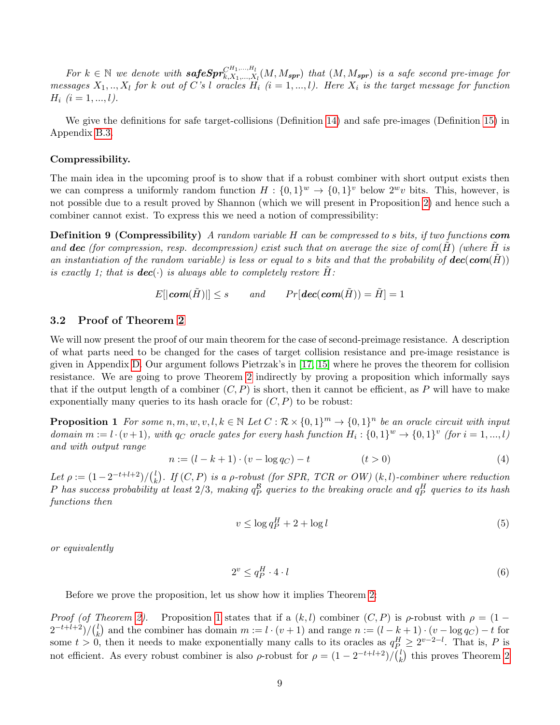<span id="page-8-2"></span>For  $k \in \mathbb{N}$  we denote with  $\textbf{safeSpr}_{k,X_1,...,X_l}^{CH_1,...,H_l}(M, M_{\textbf{spr}})$  that  $(M, M_{\textbf{spr}})$  is a safe second pre-image for messages  $X_1, ..., X_l$  for k out of C's l oracles  $H_i$  (i = 1, ..., l). Here  $X_i$  is the target message for function  $H_i$   $(i = 1, ..., l)$ .

We give the definitions for safe target-collisions (Definition [14\)](#page-21-0) and safe pre-images (Definition [15\)](#page-21-1) in Appendix [B.3.](#page-21-2)

#### Compressibility.

The main idea in the upcoming proof is to show that if a robust combiner with short output exists then we can compress a uniformly random function  $H: \{0,1\}^w \to \{0,1\}^v$  below  $2^w v$  bits. This, however, is not possible due to a result proved by Shannon (which we will present in Proposition [2\)](#page-9-0) and hence such a combiner cannot exist. To express this we need a notion of compressibility:

**Definition 9 (Compressibility)** A random variable H can be compressed to s bits, if two functions com and **dec** (for compression, resp. decompression) exist such that on average the size of com(H) (where H is an instantiation of the random variable) is less or equal to s bits and that the probability of  $dec(com(H))$ is exactly 1; that is  $dec(\cdot)$  is always able to completely restore H:

$$
E[|\textbf{com}(\tilde{H})|] \leq s \qquad and \qquad Pr[{\textbf{dec}}(\textbf{com}(\tilde{H})) = \tilde{H}] = 1
$$

#### 3.2 Proof of Theorem [2](#page-7-0)

We will now present the proof of our main theorem for the case of second-preimage resistance. A description of what parts need to be changed for the cases of target collision resistance and pre-image resistance is given in Appendix [D.](#page-26-0) Our argument follows Pietrzak's in [\[17,](#page-15-4) [15\]](#page-15-11) where he proves the theorem for collision resistance. We are going to prove Theorem [2](#page-7-0) indirectly by proving a proposition which informally says that if the output length of a combiner  $(C, P)$  is short, then it cannot be efficient, as P will have to make exponentially many queries to its hash oracle for  $(C, P)$  to be robust:

<span id="page-8-0"></span>**Proposition 1** For some  $n, m, w, v, l, k \in \mathbb{N}$  Let  $C : \mathcal{R} \times \{0, 1\}^m \rightarrow \{0, 1\}^n$  be an oracle circuit with input domain  $m := l \cdot (v+1)$ , with  $q_C$  oracle gates for every hash function  $H_i : \{0,1\}^w \to \{0,1\}^v$  (for  $i = 1,...,l$ ) and with output range

<span id="page-8-1"></span>
$$
n := (l - k + 1) \cdot (v - \log q_C) - t \tag{4}
$$

Let  $\rho := (1 - 2^{-t+l+2})/(l_k)$ <sup>l</sup><sub>k</sub>). If  $(C, P)$  is a  $\rho$ -robust (for SPR, TCR or OW)  $(k, l)$ -combiner where reduction P has success probability at least  $2/3$ , making  $q_P^B$  queries to the breaking oracle and  $q_P^H$  queries to its hash functions then

$$
v \le \log q_P^H + 2 + \log l \tag{5}
$$

or equivalently

$$
2^v \le q_P^H \cdot 4 \cdot l \tag{6}
$$

Before we prove the proposition, let us show how it implies Theorem [2:](#page-7-0)

Proof (of Theorem [2\)](#page-7-0). Proposition [1](#page-8-0) states that if a  $(k, l)$  combiner  $(C, P)$  is  $\rho$ -robust with  $\rho = (1 2^{-t+l+2})/(\frac{1}{k})$ k) and the combiner has domain  $m := l \cdot (v + 1)$  and range  $n := (l - k + 1) \cdot (v - \log q_C) - t$  for some  $t > 0$ , then it needs to make exponentially many calls to its oracles as  $q_{P_i}^H \geq 2^{v-2-l}$ . That is, P is not efficient. As every robust combiner is also  $\rho$ -robust for  $\rho = (1 - 2^{-t+l+2})/(l_k^l)$  $\binom{l}{k}$  this proves Theorem [2](#page-7-0)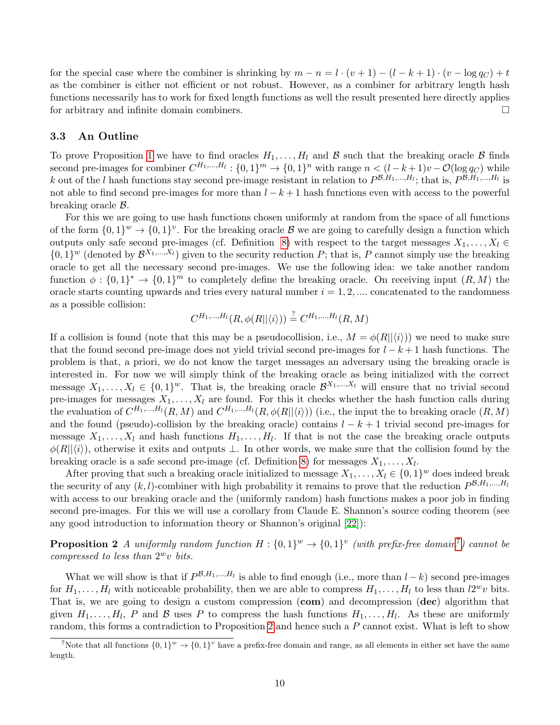<span id="page-9-2"></span>for the special case where the combiner is shrinking by  $m - n = l \cdot (v + 1) - (l - k + 1) \cdot (v - \log q_C) + t$ as the combiner is either not efficient or not robust. However, as a combiner for arbitrary length hash functions necessarily has to work for fixed length functions as well the result presented here directly applies for arbitrary and infinite domain combiners.

#### 3.3 An Outline

To prove Proposition [1](#page-8-0) we have to find oracles  $H_1, \ldots, H_l$  and B such that the breaking oracle B finds second pre-images for combiner  $C^{H_1,...,H_l}: \{0,1\}^m \to \{0,1\}^n$  with range  $n < (l-k+1)v - \mathcal{O}(\log q_C)$  while k out of the l hash functions stay second pre-image resistant in relation to  $P^{\mathcal{B},H_1,...,H_l}$ ; that is,  $P^{\mathcal{B},H_1,...,H_l}$  is not able to find second pre-images for more than  $l - k + 1$  hash functions even with access to the powerful breaking oracle B.

For this we are going to use hash functions chosen uniformly at random from the space of all functions of the form  $\{0,1\}^w \to \{0,1\}^v$ . For the breaking oracle  $\mathcal{B}$  we are going to carefully design a function which outputs only safe second pre-images (cf. Definition [8\)](#page-7-2) with respect to the target messages  $X_1, \ldots, X_l \in$  $\{0,1\}^w$  (denoted by  $\mathcal{B}^{X_1,...,X_l}$ ) given to the security reduction P; that is, P cannot simply use the breaking oracle to get all the necessary second pre-images. We use the following idea: we take another random function  $\phi: \{0,1\}^* \to \{0,1\}^m$  to completely define the breaking oracle. On receiving input  $(R, M)$  the oracle starts counting upwards and tries every natural number  $i = 1, 2, \dots$  concatenated to the randomness as a possible collision:

<span id="page-9-0"></span>
$$
C^{H_1,...,H_l}(R,\phi(R||\langle i \rangle)) \stackrel{?}{=} C^{H_1,...,H_l}(R,M)
$$

If a collision is found (note that this may be a pseudocollision, i.e.,  $M = \phi(R||\langle i \rangle)$ ) we need to make sure that the found second pre-image does not yield trivial second pre-images for  $l - k + 1$  hash functions. The problem is that, a priori, we do not know the target messages an adversary using the breaking oracle is interested in. For now we will simply think of the breaking oracle as being initialized with the correct message  $X_1, \ldots, X_l \in \{0,1\}^w$ . That is, the breaking oracle  $\mathcal{B}^{X_1,\ldots,X_l}$  will ensure that no trivial second pre-images for messages  $X_1, \ldots, X_l$  are found. For this it checks whether the hash function calls during the evaluation of  $C^{H_1,...,H_l}(R,M)$  and  $C^{H_1,...,H_l}(R,\phi(R||\langle i \rangle))$  (i.e., the input the to breaking oracle  $(R,M)$ and the found (pseudo)-collision by the breaking oracle) contains  $l - k + 1$  trivial second pre-images for message  $X_1, \ldots, X_l$  and hash functions  $H_1, \ldots, H_l$ . If that is not the case the breaking oracle outputs  $\phi(R||\langle i \rangle)$ , otherwise it exits and outputs ⊥. In other words, we make sure that the collision found by the breaking oracle is a safe second pre-image (cf. Definition [8\)](#page-7-2) for messages  $X_1, \ldots, X_l$ .

After proving that such a breaking oracle initialized to message  $X_1, \ldots, X_l \in \{0,1\}^w$  does indeed break the security of any  $(k, l)$ -combiner with high probability it remains to prove that the reduction  $P^{\mathcal{B},H_1,...,H_l}$ with access to our breaking oracle and the (uniformly random) hash functions makes a poor job in finding second pre-images. For this we will use a corollary from Claude E. Shannon's source coding theorem (see any good introduction to information theory or Shannon's original [\[22\]](#page-16-6)):

**Proposition 2** A uniformly random function  $H: \{0,1\}^w \to \{0,1\}^v$  (with prefix-free domain<sup>[7](#page-9-1)</sup>) cannot be compressed to less than  $2^w v$  bits.

What we will show is that if  $P^{\mathcal{B},H_1,...,H_l}$  is able to find enough (i.e., more than  $l-k$ ) second pre-images for  $H_1, \ldots, H_l$  with noticeable probability, then we are able to compress  $H_1, \ldots, H_l$  to less than  $l2^w v$  bits. That is, we are going to design a custom compression (com) and decompression (dec) algorithm that given  $H_1, \ldots, H_l$ , P and B uses P to compress the hash functions  $H_1, \ldots, H_l$ . As these are uniformly random, this forms a contradiction to Proposition [2](#page-9-0) and hence such a P cannot exist. What is left to show

<span id="page-9-1"></span><sup>&</sup>lt;sup>7</sup>Note that all functions  $\{0,1\}^w \to \{0,1\}^v$  have a prefix-free domain and range, as all elements in either set have the same length.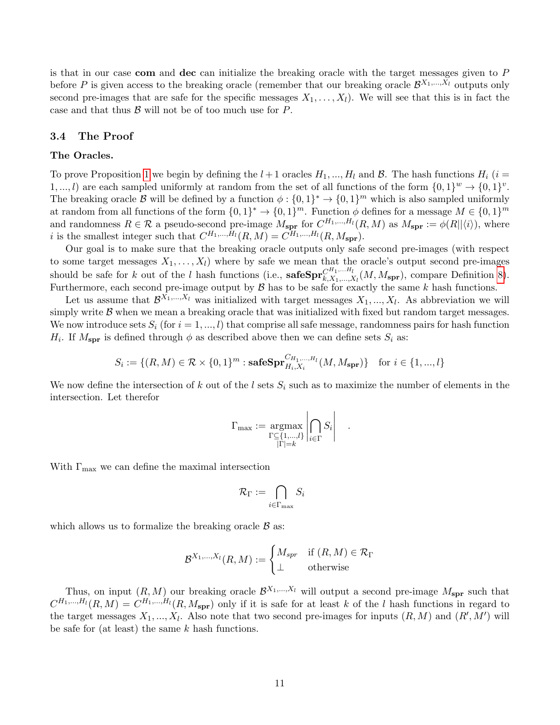is that in our case com and dec can initialize the breaking oracle with the target messages given to  $P$ before P is given access to the breaking oracle (remember that our breaking oracle  $\mathcal{B}^{X_1,\dots,X_l}$  outputs only second pre-images that are safe for the specific messages  $X_1, \ldots, X_l$ . We will see that this is in fact the case and that thus  $\beta$  will not be of too much use for  $P$ .

#### 3.4 The Proof

#### The Oracles.

To prove Proposition [1](#page-8-0) we begin by defining the  $l + 1$  oracles  $H_1, ..., H_l$  and  $\beta$ . The hash functions  $H_i$  (i = 1,..., l) are each sampled uniformly at random from the set of all functions of the form  $\{0,1\}^w \to \{0,1\}^v$ . The breaking oracle B will be defined by a function  $\phi: \{0,1\}^* \to \{0,1\}^m$  which is also sampled uniformly at random from all functions of the form  $\{0,1\}^* \to \{0,1\}^m$ . Function  $\phi$  defines for a message  $M \in \{0,1\}^m$ and randomness  $R \in \mathcal{R}$  a pseudo-second pre-image  $M_{\text{spr}}$  for  $C^{H_1,...,H_l}(R, M)$  as  $M_{\text{spr}} := \phi(R||\langle i \rangle)$ , where *i* is the smallest integer such that  $C^{H_1,...,H_l}(R,M) = C^{H_1,...,H_l}(R,M_{\text{spr}})$ .

Our goal is to make sure that the breaking oracle outputs only safe second pre-images (with respect to some target messages  $X_1, \ldots, X_l$  where by safe we mean that the oracle's output second pre-images should be safe for k out of the l hash functions (i.e.,  $\mathbf{safeSpr}_{k,X_1,\ldots,X_l}^{CH_1,\ldots H_l}(M,M_{\text{spr}})$ , compare Definition [8\)](#page-7-2). Furthermore, each second pre-image output by  $\beta$  has to be safe for exactly the same k hash functions.

Let us assume that  $\mathcal{B}^{X_1,\ldots,X_l}$  was initialized with target messages  $X_1, ..., X_l$ . As abbreviation we will simply write  $\beta$  when we mean a breaking oracle that was initialized with fixed but random target messages. We now introduce sets  $S_i$  (for  $i = 1, ..., l$ ) that comprise all safe message, randomness pairs for hash function  $H_i$ . If  $M_{\text{spr}}$  is defined through  $\phi$  as described above then we can define sets  $S_i$  as:

$$
S_i := \{ (R, M) \in \mathcal{R} \times \{0, 1\}^m : \mathbf{safeSpr}_{H_i, X_i}^{C_{H_1, \dots, H_l}}(M, M_{\mathbf{spr}}) \} \text{ for } i \in \{1, ..., l\}
$$

We now define the intersection of k out of the l sets  $S_i$  such as to maximize the number of elements in the intersection. Let therefor

$$
\Gamma_{\max} := \underset{\substack{\Gamma \subseteq \{1,\ldots,l\} \\ |\Gamma|=k}}{\mathrm{argmax}} \left| \bigcap_{i \in \Gamma} S_i \right|
$$

.

With  $\Gamma_{\text{max}}$  we can define the maximal intersection

$$
\mathcal{R}_{\Gamma}:=\bigcap_{i\in\Gamma_{\max}}S_i
$$

which allows us to formalize the breaking oracle  $\beta$  as:

$$
\mathcal{B}^{X_1,\ldots,X_l}(R,M):=\begin{cases} M_{spr} & \text{if } (R,M)\in \mathcal{R}_{\Gamma} \\ \perp & \text{otherwise} \end{cases}
$$

Thus, on input  $(R, M)$  our breaking oracle  $\mathcal{B}^{X_1,\ldots,X_l}$  will output a second pre-image  $M_{\text{spr}}$  such that  $C^{H_1,\dots,H_l}(R,M) = C^{H_1,\dots,H_l}(R,M_{\text{spr}})$  only if it is safe for at least k of the l hash functions in regard to the target messages  $X_1, ..., X_l$ . Also note that two second pre-images for inputs  $(R, M)$  and  $(R', M')$  will be safe for (at least) the same  $k$  hash functions.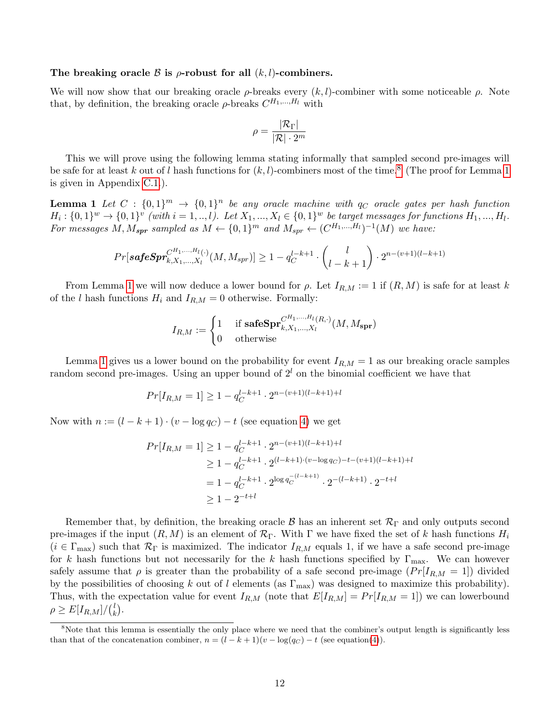#### The breaking oracle  $\beta$  is  $\rho$ -robust for all  $(k, l)$ -combiners.

We will now show that our breaking oracle  $\rho$ -breaks every  $(k, l)$ -combiner with some noticeable  $\rho$ . Note that, by definition, the breaking oracle  $\rho$ -breaks  $C^{H_1,...,H_l}$  with

$$
\rho = \frac{|\mathcal{R}_{\Gamma}|}{|\mathcal{R}| \cdot 2^m}
$$

This we will prove using the following lemma stating informally that sampled second pre-images will be safe for at least k out of l hash functions for  $(k, l)$ -combiners most of the time.<sup>[8](#page-11-0)</sup> (The proof for Lemma [1](#page-11-1)) is given in Appendix [C.1.](#page-22-0)).

<span id="page-11-1"></span>**Lemma 1** Let  $C : \{0,1\}^m \to \{0,1\}^n$  be any oracle machine with  $q_C$  oracle gates per hash function  $H_i: \{0,1\}^w \to \{0,1\}^v$  (with  $i=1,..,l$ ). Let  $X_1,...,X_l \in \{0,1\}^w$  be target messages for functions  $H_1,...,H_l$ . For messages M,  $M_{spr}$  sampled as  $M \leftarrow \{0,1\}^m$  and  $M_{spr} \leftarrow (C^{H_1,...,H_l})^{-1}(M)$  we have:

$$
Pr[\mathit{safeSpr}_{k,X_1,\ldots,X_l}^{CH_1,\ldots,H_l(\cdot)}(M,M_{spr})] \ge 1 - q_C^{l-k+1} \cdot {l \choose l-k+1} \cdot 2^{n-(v+1)(l-k+1)}
$$

From Lemma [1](#page-11-1) we will now deduce a lower bound for  $\rho$ . Let  $I_{R,M} := 1$  if  $(R,M)$  is safe for at least k of the l hash functions  $H_i$  and  $I_{R,M} = 0$  otherwise. Formally:

$$
I_{R,M} := \begin{cases} 1 & \text{if } \mathbf{safeSpr}_{k,X_1,\ldots,X_l}^{CH_1,\ldots,H_l(R,\cdot)}(M,M_{\mathbf{spr}}) \\ 0 & \text{otherwise} \end{cases}
$$

Lemma [1](#page-11-1) gives us a lower bound on the probability for event  $I_{R,M} = 1$  as our breaking oracle samples random second pre-images. Using an upper bound of  $2<sup>l</sup>$  on the binomial coefficient we have that

$$
Pr[I_{R,M} = 1] \ge 1 - q_C^{l-k+1} \cdot 2^{n-(v+1)(l-k+1)+l}
$$

Now with  $n := (l - k + 1) \cdot (v - \log q_C) - t$  (see equation [4\)](#page-8-1) we get

$$
Pr[I_{R,M} = 1] \ge 1 - q_C^{l-k+1} \cdot 2^{n-(v+1)(l-k+1)+l}
$$
  
\n
$$
\ge 1 - q_C^{l-k+1} \cdot 2^{(l-k+1)\cdot(v - \log q_C) - t - (v+1)(l-k+1)+l}
$$
  
\n
$$
= 1 - q_C^{l-k+1} \cdot 2^{\log q_C^{-(l-k+1)}} \cdot 2^{-(l-k+1)} \cdot 2^{-t+l}
$$
  
\n
$$
\ge 1 - 2^{-t+l}
$$

Remember that, by definition, the breaking oracle  $\beta$  has an inherent set  $\mathcal{R}_{\Gamma}$  and only outputs second pre-images if the input  $(R, M)$  is an element of  $\mathcal{R}_{\Gamma}$ . With  $\Gamma$  we have fixed the set of k hash functions  $H_i$  $(i \in \Gamma_{\text{max}})$  such that  $\mathcal{R}_{\Gamma}$  is maximized. The indicator  $I_{R,M}$  equals 1, if we have a safe second pre-image for k hash functions but not necessarily for the k hash functions specified by  $\Gamma_{\text{max}}$ . We can however safely assume that  $\rho$  is greater than the probability of a safe second pre-image  $(Pr[I_{RM} = 1])$  divided by the possibilities of choosing k out of l elements (as  $\Gamma_{\text{max}}$ ) was designed to maximize this probability). Thus, with the expectation value for event  $I_{R,M}$  (note that  $E[I_{R,M}] = Pr[I_{R,M} = 1]$ ) we can lowerbound  $\rho \geq E[I_{R,M}]/\binom{l}{k}$  $\binom{l}{k}$ .

<span id="page-11-0"></span><sup>&</sup>lt;sup>8</sup>Note that this lemma is essentially the only place where we need that the combiner's output length is significantly less than that of the concatenation combiner,  $n = (l - k + 1)(v - \log(q_C) - t$  (see equation[\(4\)](#page-8-1)).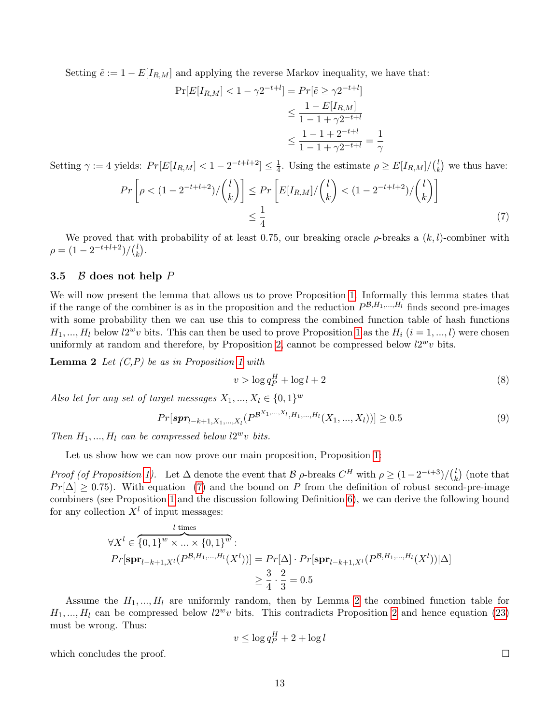Setting  $\tilde{e} := 1 - E[I_{R,M}]$  and applying the reverse Markov inequality, we have that:

$$
\Pr[E[I_{R,M}] < 1 - \gamma 2^{-t+l}] = \Pr[\tilde{e} \ge \gamma 2^{-t+l}]
$$
\n
$$
\le \frac{1 - E[I_{R,M}]}{1 - 1 + \gamma 2^{-t+l}}
$$
\n
$$
\le \frac{1 - 1 + 2^{-t+l}}{1 - 1 + \gamma 2^{-t+l}} =
$$

Setting  $\gamma := 4$  yields:  $Pr[E[I_{R,M}] < 1 - 2^{-t+l+2}] \le \frac{1}{4}$  $\frac{1}{4}$ . Using the estimate  $\rho \geq E[I_{R,M}]/\binom{l}{k}$  $\binom{l}{k}$  we thus have:

$$
Pr\left[\rho < (1 - 2^{-t + l + 2}) / {l \choose k} \right] \leq Pr\left[E[I_{R,M}] / {l \choose k} < (1 - 2^{-t + l + 2}) / {l \choose k} \right] \leq \frac{1}{4} \tag{7}
$$

We proved that with probability of at least 0.75, our breaking oracle  $\rho$ -breaks a  $(k, l)$ -combiner with  $\rho = (1 - 2^{-t+l+2})/(l_k)$  $\binom{l}{k}$ .

#### 3.5  $\beta$  does not help P

We will now present the lemma that allows us to prove Proposition [1.](#page-8-0) Informally this lemma states that if the range of the combiner is as in the proposition and the reduction  $P^{B,H_1,...,H_l}$  finds second pre-images with some probability then we can use this to compress the combined function table of hash functions  $H_1, ..., H_l$  below  $l2^wv$  bits. This can then be used to prove Proposition [1](#page-8-0) as the  $H_i$   $(i = 1, ..., l)$  were chosen uniformly at random and therefore, by Proposition [2,](#page-9-0) cannot be compressed below  $l2^w v$  bits.

<span id="page-12-1"></span>**Lemma 2** Let  $(C, P)$  be as in Proposition [1](#page-8-0) with

$$
v > \log q_P^H + \log l + 2\tag{8}
$$

<span id="page-12-0"></span>1 γ

Also let for any set of target messages  $X_1, ..., X_l \in \{0, 1\}^w$ 

$$
Pr[\text{spr}_{l-k+1,X_1,\ldots,X_l}(P^{\mathcal{B}^{X_1,\ldots,X_l},H_1,\ldots,H_l}(X_1,\ldots,X_l))] \ge 0.5
$$
\n(9)

Then  $H_1, ..., H_l$  can be compressed below  $l2^w v$  bits.

Let us show how we can now prove our main proposition, Proposition [1:](#page-8-0)

Proof (of Proposition [1\)](#page-8-0). Let  $\Delta$  denote the event that  $\beta$   $\rho$ -breaks  $C^H$  with  $\rho \geq (1-2^{-t+3})/{\binom{l}{k}}$  $\binom{l}{k}$  (note that  $Pr[\Delta] \ge 0.75$ ). With equation [\(7\)](#page-12-0) and the bound on P from the definition of robust second-pre-image combiners (see Proposition [1](#page-8-0) and the discussion following Definition [6\)](#page-6-3), we can derive the following bound for any collection  $X<sup>l</sup>$  of input messages:

$$
\forall X^{l} \in \{0,1\}^{w} \times ... \times \{0,1\}^{w}
$$
  
\n
$$
Pr[\text{spr}_{l-k+1,X^{l}}(P^{\mathcal{B},H_{1},...,H_{l}}(X^{l}))] = Pr[\Delta] \cdot Pr[\text{spr}_{l-k+1,X^{l}}(P^{\mathcal{B},H_{1},...,H_{l}}(X^{l}))|\Delta]
$$
  
\n
$$
\geq \frac{3}{4} \cdot \frac{2}{3} = 0.5
$$

Assume the  $H_1, ..., H_l$  are uniformly random, then by Lemma [2](#page-12-1) the combined function table for  $H_1, ..., H_l$  can be compressed below  $l2^w v$  bits. This contradicts Proposition [2](#page-9-0) and hence equation [\(23\)](#page-24-0) must be wrong. Thus:

$$
v \leq \log q_P^H + 2 + \log l
$$

which concludes the proof.  $\Box$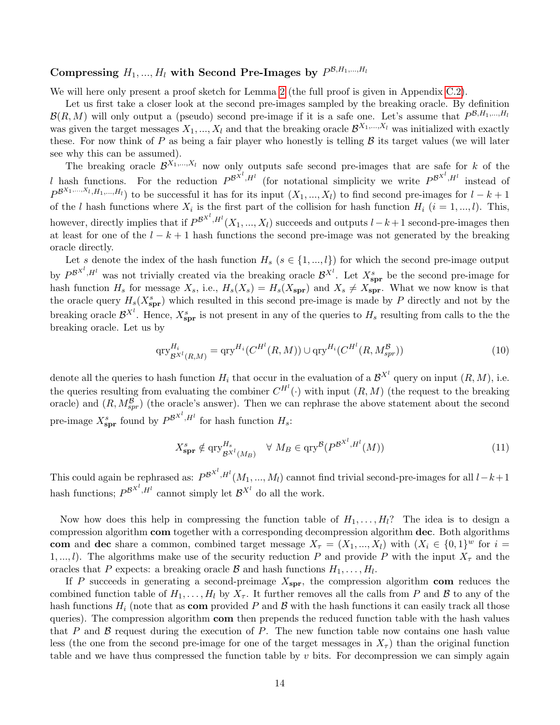# <span id="page-13-0"></span>Compressing  $H_1, ..., H_l$  with Second Pre-Images by  $P^{\mathcal{B},H_1,...,H_l}$

We will here only present a proof sketch for Lemma [2](#page-12-1) (the full proof is given in Appendix [C.2\)](#page-24-1).

Let us first take a closer look at the second pre-images sampled by the breaking oracle. By definition  $\mathcal{B}(R,M)$  will only output a (pseudo) second pre-image if it is a safe one. Let's assume that  $P^{\mathcal{B},H_1,...,H_l}$ was given the target messages  $X_1, ..., X_l$  and that the breaking oracle  $\mathcal{B}^{X_1,...,X_l}$  was initialized with exactly these. For now think of P as being a fair player who honestly is telling  $\beta$  its target values (we will later see why this can be assumed).

The breaking oracle  $\mathcal{B}^{X_1,\dots,X_l}$  now only outputs safe second pre-images that are safe for k of the l hash functions. For the reduction  $P^{\mathcal{B}^{X^l},H^l}$  (for notational simplicity we write  $P^{\mathcal{B}^{X^l},H^l}$  instead of  $P^{B^{X_1,\ldots,X_l},H_1,\ldots,H_l}$  to be successful it has for its input  $(X_1,\ldots,X_l)$  to find second pre-images for  $l-k+1$ of the l hash functions where  $X_i$  is the first part of the collision for hash function  $H_i$   $(i = 1, ..., l)$ . This, however, directly implies that if  $P^{B^{X^l}, H^l}(X_1, ..., X_l)$  succeeds and outputs  $l - k + 1$  second-pre-images then at least for one of the  $l - k + 1$  hash functions the second pre-image was not generated by the breaking oracle directly.

Let s denote the index of the hash function  $H_s$  ( $s \in \{1, ..., l\}$ ) for which the second pre-image output by  $P^{\mathcal{B}^{X^l}, H^l}$  was not trivially created via the breaking oracle  $\mathcal{B}^{X^l}$ . Let  $X^s_{\text{spr}}$  be the second pre-image for hash function  $H_s$  for message  $X_s$ , i.e.,  $H_s(X_s) = H_s(X_{\text{spr}})$  and  $X_s \neq X_{\text{spr}}$ . What we now know is that the oracle query  $H_s(X_{\text{spr}}^s)$  which resulted in this second pre-image is made by P directly and not by the breaking oracle  $\mathcal{B}^{X^l}$ . Hence,  $X^s_{\text{spr}}$  is not present in any of the queries to  $H_s$  resulting from calls to the the breaking oracle. Let us by

$$
\text{qry}_{\mathcal{B}^{\mathcal{X}^l}(R,M)}^{\mathcal{H}_i} = \text{qry}^{\mathcal{H}_i}(C^{\mathcal{H}^l}(R,M)) \cup \text{qry}^{\mathcal{H}_i}(C^{\mathcal{H}^l}(R,M_{spr}^{\mathcal{B}}))
$$
\n
$$
\tag{10}
$$

denote all the queries to hash function  $H_i$  that occur in the evaluation of a  $\mathcal{B}^{X^l}$  query on input  $(R, M)$ , i.e. the queries resulting from evaluating the combiner  $C^{H}(\cdot)$  with input  $(R, M)$  (the request to the breaking oracle) and  $(R, M_{spr}^B)$  (the oracle's answer). Then we can rephrase the above statement about the second pre-image  $X_{\text{spr}}^s$  found by  $P^{\mathcal{B}^{X^l},H^l}$  for hash function  $H_s$ :

$$
X_{\text{spr}}^{s} \notin \text{qry}_{\mathcal{B}^{X^{l}}(M_{B})}^{H_{s}} \quad \forall \ M_{B} \in \text{qry}^{\mathcal{B}}(P^{\mathcal{B}^{X^{l}}, H^{l}}(M))
$$
\n
$$
(11)
$$

This could again be rephrased as:  $P^{B^{X^l}, H^l}(M_1, ..., M_l)$  cannot find trivial second-pre-images for all  $l-k+1$ hash functions;  $P^{\mathcal{B}^{X^l}, H^l}$  cannot simply let  $\mathcal{B}^{X^l}$  do all the work.

Now how does this help in compressing the function table of  $H_1, \ldots, H_l$ ? The idea is to design a compression algorithm com together with a corresponding decompression algorithm dec. Both algorithms com and dec share a common, combined target message  $X_{\tau} = (X_1, ..., X_l)$  with  $(X_i \in \{0, 1\}^w$  for  $i =$ 1,..., l). The algorithms make use of the security reduction P and provide P with the input  $X_{\tau}$  and the oracles that P expects: a breaking oracle B and hash functions  $H_1, \ldots, H_l$ .

If P succeeds in generating a second-preimage  $X_{spr}$ , the compression algorithm com reduces the combined function table of  $H_1, \ldots, H_l$  by  $X_{\tau}$ . It further removes all the calls from P and B to any of the hash functions  $H_i$  (note that as com provided P and B with the hash functions it can easily track all those queries). The compression algorithm com then prepends the reduced function table with the hash values that P and B request during the execution of P. The new function table now contains one hash value less (the one from the second pre-image for one of the target messages in  $X<sub>\tau</sub>$ ) than the original function table and we have thus compressed the function table by  $v$  bits. For decompression we can simply again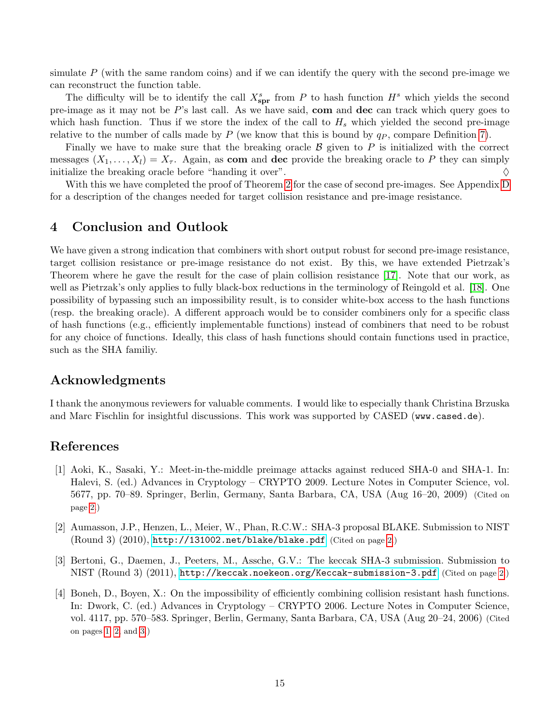<span id="page-14-4"></span>simulate  $P$  (with the same random coins) and if we can identify the query with the second pre-image we can reconstruct the function table.

The difficulty will be to identify the call  $X_{\text{spr}}^s$  from P to hash function  $H^s$  which yields the second pre-image as it may not be  $P$ 's last call. As we have said, com and dec can track which query goes to which hash function. Thus if we store the index of the call to  $H_s$  which yielded the second pre-image relative to the number of calls made by  $P$  (we know that this is bound by  $q_P$ , compare Definition [7\)](#page-6-4).

Finally we have to make sure that the breaking oracle  $\beta$  given to P is initialized with the correct messages  $(X_1, \ldots, X_l) = X_{\tau}$ . Again, as **com** and **dec** provide the breaking oracle to P they can simply initialize the breaking oracle before "handing it over".  $\diamond$ 

With this we have completed the proof of Theorem [2](#page-7-0) for the case of second pre-images. See Appendix [D](#page-26-0) for a description of the changes needed for target collision resistance and pre-image resistance.

# 4 Conclusion and Outlook

We have given a strong indication that combiners with short output robust for second pre-image resistance, target collision resistance or pre-image resistance do not exist. By this, we have extended Pietrzak's Theorem where he gave the result for the case of plain collision resistance [\[17\]](#page-15-4). Note that our work, as well as Pietrzak's only applies to fully black-box reductions in the terminology of Reingold et al. [\[18\]](#page-16-8). One possibility of bypassing such an impossibility result, is to consider white-box access to the hash functions (resp. the breaking oracle). A different approach would be to consider combiners only for a specific class of hash functions (e.g., efficiently implementable functions) instead of combiners that need to be robust for any choice of functions. Ideally, this class of hash functions should contain functions used in practice, such as the SHA familiy.

## Acknowledgments

I thank the anonymous reviewers for valuable comments. I would like to especially thank Christina Brzuska and Marc Fischlin for insightful discussions. This work was supported by CASED (www.cased.de).

## References

- <span id="page-14-1"></span>[1] Aoki, K., Sasaki, Y.: Meet-in-the-middle preimage attacks against reduced SHA-0 and SHA-1. In: Halevi, S. (ed.) Advances in Cryptology – CRYPTO 2009. Lecture Notes in Computer Science, vol. 5677, pp. 70–89. Springer, Berlin, Germany, Santa Barbara, CA, USA (Aug 16–20, 2009) (Cited on page [2.](#page-1-1))
- <span id="page-14-2"></span>[2] Aumasson, J.P., Henzen, L., Meier, W., Phan, R.C.W.: SHA-3 proposal BLAKE. Submission to NIST (Round 3) (2010), <http://131002.net/blake/blake.pdf> (Cited on page [2.](#page-1-1))
- <span id="page-14-3"></span>[3] Bertoni, G., Daemen, J., Peeters, M., Assche, G.V.: The keccak SHA-3 submission. Submission to NIST (Round 3) (2011), <http://keccak.noekeon.org/Keccak-submission-3.pdf> (Cited on page [2.](#page-1-1))
- <span id="page-14-0"></span>[4] Boneh, D., Boyen, X.: On the impossibility of efficiently combining collision resistant hash functions. In: Dwork, C. (ed.) Advances in Cryptology – CRYPTO 2006. Lecture Notes in Computer Science, vol. 4117, pp. 570–583. Springer, Berlin, Germany, Santa Barbara, CA, USA (Aug 20–24, 2006) (Cited on pages [1,](#page-0-0) [2,](#page-1-1) and [3.](#page-2-2))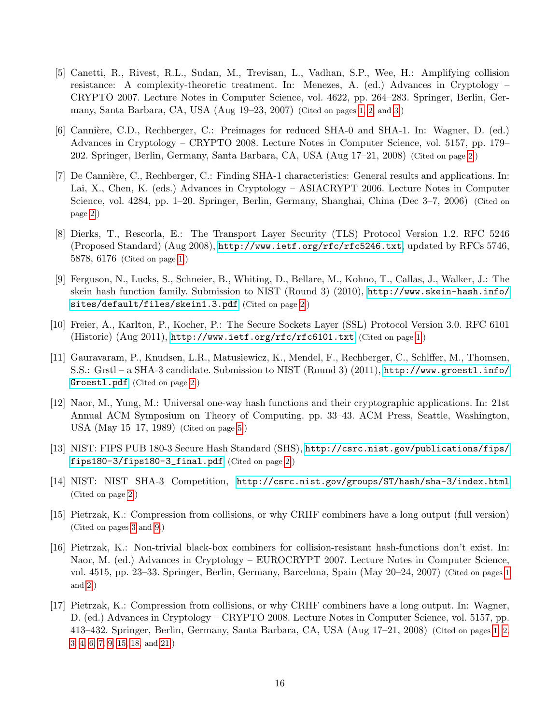- <span id="page-15-2"></span>[5] Canetti, R., Rivest, R.L., Sudan, M., Trevisan, L., Vadhan, S.P., Wee, H.: Amplifying collision resistance: A complexity-theoretic treatment. In: Menezes, A. (ed.) Advances in Cryptology – CRYPTO 2007. Lecture Notes in Computer Science, vol. 4622, pp. 264–283. Springer, Berlin, Ger-many, Santa Barbara, CA, USA (Aug 19–23, 2007) (Cited on pages [1,](#page-0-0) [2,](#page-1-1) and [3.](#page-2-2))
- <span id="page-15-7"></span>[6] Cannière, C.D., Rechberger, C.: Preimages for reduced SHA-0 and SHA-1. In: Wagner, D. (ed.) Advances in Cryptology – CRYPTO 2008. Lecture Notes in Computer Science, vol. 5157, pp. 179– 202. Springer, Berlin, Germany, Santa Barbara, CA, USA (Aug 17–21, 2008) (Cited on page [2.](#page-1-1))
- <span id="page-15-6"></span>[7] De Cannière, C., Rechberger, C.: Finding SHA-1 characteristics: General results and applications. In: Lai, X., Chen, K. (eds.) Advances in Cryptology – ASIACRYPT 2006. Lecture Notes in Computer Science, vol. 4284, pp. 1–20. Springer, Berlin, Germany, Shanghai, China (Dec 3–7, 2006) (Cited on page [2.](#page-1-1))
- <span id="page-15-1"></span>[8] Dierks, T., Rescorla, E.: The Transport Layer Security (TLS) Protocol Version 1.2. RFC 5246 (Proposed Standard) (Aug 2008), <http://www.ietf.org/rfc/rfc5246.txt>, updated by RFCs 5746, 5878, 6176 (Cited on page [1.](#page-0-0))
- <span id="page-15-10"></span>[9] Ferguson, N., Lucks, S., Schneier, B., Whiting, D., Bellare, M., Kohno, T., Callas, J., Walker, J.: The skein hash function family. Submission to NIST (Round 3) (2010), [http://www.skein-hash.info/](http://www.skein-hash.info/sites/default/files/skein1.3.pdf) [sites/default/files/skein1.3.pdf](http://www.skein-hash.info/sites/default/files/skein1.3.pdf) (Cited on page [2.](#page-1-1))
- <span id="page-15-0"></span>[10] Freier, A., Karlton, P., Kocher, P.: The Secure Sockets Layer (SSL) Protocol Version 3.0. RFC 6101 (Historic) (Aug 2011), <http://www.ietf.org/rfc/rfc6101.txt> (Cited on page [1.](#page-0-0))
- <span id="page-15-9"></span>[11] Gauravaram, P., Knudsen, L.R., Matusiewicz, K., Mendel, F., Rechberger, C., Schlffer, M., Thomsen, S.S.: Grstl – a SHA-3 candidate. Submission to NIST (Round 3) (2011), [http://www.groestl.info/](http://www.groestl.info/Groestl.pdf) [Groestl.pdf](http://www.groestl.info/Groestl.pdf) (Cited on page [2.](#page-1-1))
- <span id="page-15-12"></span>[12] Naor, M., Yung, M.: Universal one-way hash functions and their cryptographic applications. In: 21st Annual ACM Symposium on Theory of Computing. pp. 33–43. ACM Press, Seattle, Washington, USA (May 15–17, 1989) (Cited on page [5.](#page-4-1))
- <span id="page-15-5"></span>[13] NIST: FIPS PUB 180-3 Secure Hash Standard (SHS), [http://csrc.nist.gov/publications/fips/](http://csrc.nist.gov/publications/fips/fips180-3/fips180-3_final.pdf) [fips180-3/fips180-3\\_final.pdf](http://csrc.nist.gov/publications/fips/fips180-3/fips180-3_final.pdf) (Cited on page [2.](#page-1-1))
- <span id="page-15-8"></span>[14] NIST: NIST SHA-3 Competition, <http://csrc.nist.gov/groups/ST/hash/sha-3/index.html> (Cited on page [2.](#page-1-1))
- <span id="page-15-11"></span>[15] Pietrzak, K.: Compression from collisions, or why CRHF combiners have a long output (full version) (Cited on pages [3](#page-2-2) and [9.](#page-8-2))
- <span id="page-15-3"></span>[16] Pietrzak, K.: Non-trivial black-box combiners for collision-resistant hash-functions don't exist. In: Naor, M. (ed.) Advances in Cryptology – EUROCRYPT 2007. Lecture Notes in Computer Science, vol. 4515, pp. 23–33. Springer, Berlin, Germany, Barcelona, Spain (May 20–24, 2007) (Cited on pages [1](#page-0-0) and [2.](#page-1-1))
- <span id="page-15-4"></span>[17] Pietrzak, K.: Compression from collisions, or why CRHF combiners have a long output. In: Wagner, D. (ed.) Advances in Cryptology – CRYPTO 2008. Lecture Notes in Computer Science, vol. 5157, pp. 413–432. Springer, Berlin, Germany, Santa Barbara, CA, USA (Aug 17–21, 2008) (Cited on pages [1,](#page-0-0) [2,](#page-1-1) [3,](#page-2-2) [4,](#page-3-1) [6,](#page-5-0) [7,](#page-6-5) [9,](#page-8-2) [15,](#page-14-4) [18,](#page-17-1) and [21.](#page-20-3))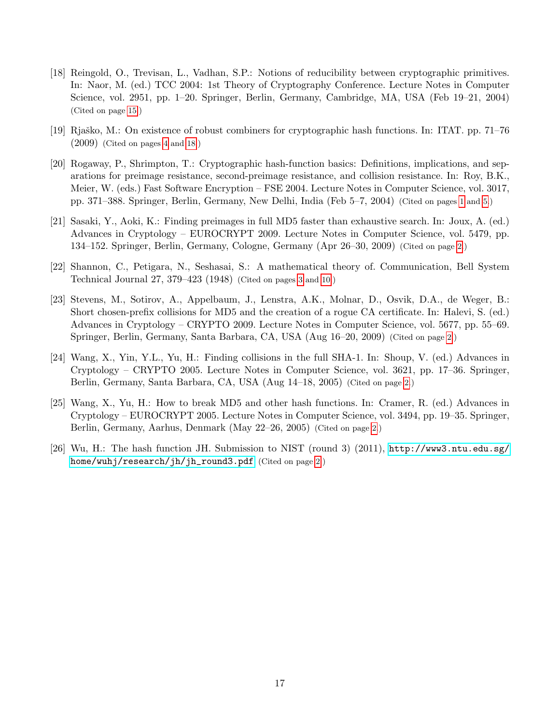- <span id="page-16-8"></span>[18] Reingold, O., Trevisan, L., Vadhan, S.P.: Notions of reducibility between cryptographic primitives. In: Naor, M. (ed.) TCC 2004: 1st Theory of Cryptography Conference. Lecture Notes in Computer Science, vol. 2951, pp. 1–20. Springer, Berlin, Germany, Cambridge, MA, USA (Feb 19–21, 2004) (Cited on page [15.](#page-14-4))
- <span id="page-16-7"></span>[19] Rjaško, M.: On existence of robust combiners for cryptographic hash functions. In: ITAT. pp. 71–76 (2009) (Cited on pages [4](#page-3-1) and [18.](#page-17-1))
- <span id="page-16-0"></span>[20] Rogaway, P., Shrimpton, T.: Cryptographic hash-function basics: Definitions, implications, and separations for preimage resistance, second-preimage resistance, and collision resistance. In: Roy, B.K., Meier, W. (eds.) Fast Software Encryption – FSE 2004. Lecture Notes in Computer Science, vol. 3017, pp. 371–388. Springer, Berlin, Germany, New Delhi, India (Feb 5–7, 2004) (Cited on pages [1](#page-0-0) and [5.](#page-4-1))
- <span id="page-16-3"></span>[21] Sasaki, Y., Aoki, K.: Finding preimages in full MD5 faster than exhaustive search. In: Joux, A. (ed.) Advances in Cryptology – EUROCRYPT 2009. Lecture Notes in Computer Science, vol. 5479, pp. 134–152. Springer, Berlin, Germany, Cologne, Germany (Apr 26–30, 2009) (Cited on page [2.](#page-1-1))
- <span id="page-16-6"></span>[22] Shannon, C., Petigara, N., Seshasai, S.: A mathematical theory of. Communication, Bell System Technical Journal 27, 379–423 (1948) (Cited on pages [3](#page-2-2) and [10.](#page-9-2))
- <span id="page-16-2"></span>[23] Stevens, M., Sotirov, A., Appelbaum, J., Lenstra, A.K., Molnar, D., Osvik, D.A., de Weger, B.: Short chosen-prefix collisions for MD5 and the creation of a rogue CA certificate. In: Halevi, S. (ed.) Advances in Cryptology – CRYPTO 2009. Lecture Notes in Computer Science, vol. 5677, pp. 55–69. Springer, Berlin, Germany, Santa Barbara, CA, USA (Aug 16–20, 2009) (Cited on page [2.](#page-1-1))
- <span id="page-16-4"></span>[24] Wang, X., Yin, Y.L., Yu, H.: Finding collisions in the full SHA-1. In: Shoup, V. (ed.) Advances in Cryptology – CRYPTO 2005. Lecture Notes in Computer Science, vol. 3621, pp. 17–36. Springer, Berlin, Germany, Santa Barbara, CA, USA (Aug 14–18, 2005) (Cited on page [2.](#page-1-1))
- <span id="page-16-1"></span>[25] Wang, X., Yu, H.: How to break MD5 and other hash functions. In: Cramer, R. (ed.) Advances in Cryptology – EUROCRYPT 2005. Lecture Notes in Computer Science, vol. 3494, pp. 19–35. Springer, Berlin, Germany, Aarhus, Denmark (May 22–26, 2005) (Cited on page [2.](#page-1-1))
- <span id="page-16-5"></span>[26] Wu, H.: The hash function JH. Submission to NIST (round 3) (2011), [http://www3.ntu.edu.sg/](http://www3.ntu.edu.sg/home/wuhj/research/jh/jh_round3.pdf) [home/wuhj/research/jh/jh\\_round3.pdf](http://www3.ntu.edu.sg/home/wuhj/research/jh/jh_round3.pdf) (Cited on page [2.](#page-1-1))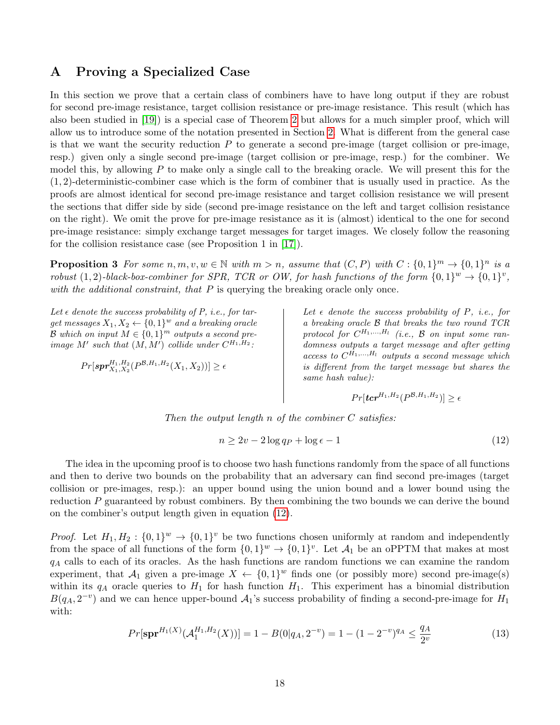# <span id="page-17-1"></span><span id="page-17-0"></span>A Proving a Specialized Case

In this section we prove that a certain class of combiners have to have long output if they are robust for second pre-image resistance, target collision resistance or pre-image resistance. This result (which has also been studied in [\[19\]](#page-16-7)) is a special case of Theorem [2](#page-7-0) but allows for a much simpler proof, which will allow us to introduce some of the notation presented in Section [2.](#page-3-2) What is different from the general case is that we want the security reduction  $P$  to generate a second pre-image (target collision or pre-image, resp.) given only a single second pre-image (target collision or pre-image, resp.) for the combiner. We model this, by allowing  $P$  to make only a single call to the breaking oracle. We will present this for the  $(1, 2)$ -deterministic-combiner case which is the form of combiner that is usually used in practice. As the proofs are almost identical for second pre-image resistance and target collision resistance we will present the sections that differ side by side (second pre-image resistance on the left and target collision resistance on the right). We omit the prove for pre-image resistance as it is (almost) identical to the one for second pre-image resistance: simply exchange target messages for target images. We closely follow the reasoning for the collision resistance case (see Proposition 1 in [\[17\]](#page-15-4)).

<span id="page-17-4"></span>**Proposition 3** For some  $n, m, v, w \in \mathbb{N}$  with  $m > n$ , assume that  $(C, P)$  with  $C : \{0, 1\}^m \to \{0, 1\}^n$  is a robust  $(1, 2)$ -black-box-combiner for SPR, TCR or OW, for hash functions of the form  $\{0, 1\}^w \to \{0, 1\}^v$ , with the additional constraint, that  $P$  is querying the breaking oracle only once.

Let  $\epsilon$  denote the success probability of P, i.e., for target messages  $X_1, X_2 \leftarrow \{0,1\}^w$  and a breaking oracle B which on input  $M \in \{0,1\}^m$  outputs a second preimage M' such that  $(M, M')$  collide under  $C^{H_1, H_2}$ :

$$
Pr[\pmb{spr}_{X_1,X_2}^{H_1,H_2}(P^{\mathcal{B},H_1,H_2}(X_1,X_2))] \ge \epsilon
$$

Let  $\epsilon$  denote the success probability of P, i.e., for a breaking oracle B that breaks the two round TCR protocol for  $C^{H_1,...,H_l}$  (i.e.,  $\mathcal B$  on input some randomness outputs a target message and after getting access to  $C^{H_1,...,H_l}$  outputs a second message which is different from the target message but shares the same hash value):

<span id="page-17-3"></span><span id="page-17-2"></span>
$$
Pr[ter^{H_1, H_2}(P^{\mathcal{B},H_1, H_2})] \ge \epsilon
$$

Then the output length  $n$  of the combiner  $C$  satisfies:

$$
n \ge 2v - 2\log q_P + \log \epsilon - 1\tag{12}
$$

The idea in the upcoming proof is to choose two hash functions randomly from the space of all functions and then to derive two bounds on the probability that an adversary can find second pre-images (target collision or pre-images, resp.): an upper bound using the union bound and a lower bound using the reduction P guaranteed by robust combiners. By then combining the two bounds we can derive the bound on the combiner's output length given in equation [\(12\)](#page-17-2).

*Proof.* Let  $H_1, H_2 : \{0,1\}^w \to \{0,1\}^v$  be two functions chosen uniformly at random and independently from the space of all functions of the form  $\{0,1\}^w \to \{0,1\}^v$ . Let  $\mathcal{A}_1$  be an oPPTM that makes at most  $q_A$  calls to each of its oracles. As the hash functions are random functions we can examine the random experiment, that  $\mathcal{A}_1$  given a pre-image  $X \leftarrow \{0,1\}^w$  finds one (or possibly more) second pre-image(s) within its  $q_A$  oracle queries to  $H_1$  for hash function  $H_1$ . This experiment has a binomial distribution  $B(q_A, 2^{-v})$  and we can hence upper-bound  $\mathcal{A}_1$ 's success probability of finding a second-pre-image for  $H_1$ with:

$$
Pr[\mathbf{spr}^{H_1(X)}(\mathcal{A}_1^{H_1, H_2}(X))] = 1 - B(0|q_A, 2^{-v}) = 1 - (1 - 2^{-v})^{q_A} \le \frac{q_A}{2^v}
$$
\n(13)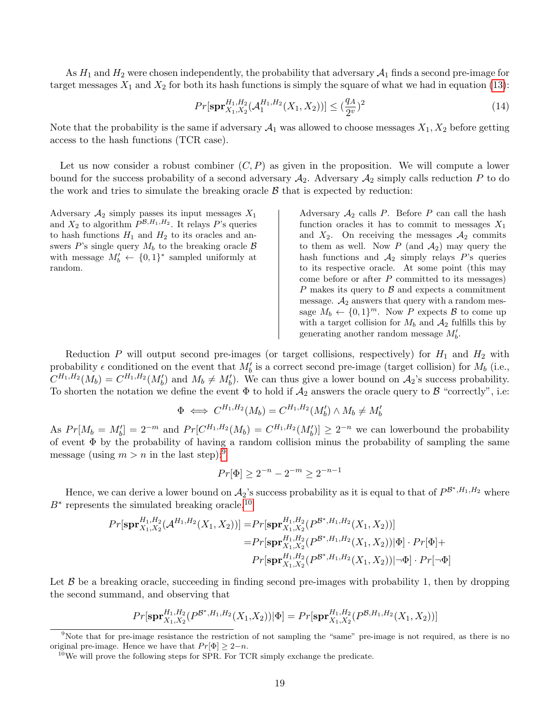As  $H_1$  and  $H_2$  were chosen independently, the probability that adversary  $A_1$  finds a second pre-image for target messages  $X_1$  and  $X_2$  for both its hash functions is simply the square of what we had in equation [\(13\)](#page-17-3):

<span id="page-18-2"></span>
$$
Pr[\mathbf{spr}_{X_1, X_2}^{H_1, H_2}(\mathcal{A}_1^{H_1, H_2}(X_1, X_2))] \le (\frac{q_A}{2^v})^2
$$
\n(14)

Note that the probability is the same if adversary  $\mathcal{A}_1$  was allowed to choose messages  $X_1, X_2$  before getting access to the hash functions (TCR case).

Let us now consider a robust combiner  $(C, P)$  as given in the proposition. We will compute a lower bound for the success probability of a second adversary  $A_2$ . Adversary  $A_2$  simply calls reduction P to do the work and tries to simulate the breaking oracle  $\beta$  that is expected by reduction:

Adversary  $A_2$  simply passes its input messages  $X_1$ and  $X_2$  to algorithm  $P^{\mathcal{B},H_1,H_2}$ . It relays P's queries to hash functions  $H_1$  and  $H_2$  to its oracles and answers P's single query  $M_b$  to the breaking oracle  $\beta$ with message  $M'_b \leftarrow \{0,1\}^*$  sampled uniformly at random.

Adversary  $A_2$  calls P. Before P can call the hash function oracles it has to commit to messages  $X_1$ and  $X_2$ . On receiving the messages  $A_2$  commits to them as well. Now  $P$  (and  $A_2$ ) may query the hash functions and  $A_2$  simply relays P's queries to its respective oracle. At some point (this may come before or after  $P$  committed to its messages)  $P$  makes its query to  $B$  and expects a commitment message.  $A_2$  answers that query with a random message  $M_b \leftarrow \{0,1\}^m$ . Now P expects B to come up with a target collision for  $M_b$  and  $A_2$  fulfills this by generating another random message  $M'_b$ .

Reduction P will output second pre-images (or target collisions, respectively) for  $H_1$  and  $H_2$  with probability  $\epsilon$  conditioned on the event that  $M'_b$  is a correct second pre-image (target collision) for  $M_b$  (i.e.,  $C^{H_1,H_2}(M_b) = C^{H_1,H_2}(M'_b)$  and  $M_b \neq M'_b$ . We can thus give a lower bound on  $\mathcal{A}_2$ 's success probability. To shorten the notation we define the event  $\Phi$  to hold if  $\mathcal{A}_2$  answers the oracle query to  $\mathcal B$  "correctly", i.e:

$$
\Phi \iff C^{H_1, H_2}(M_b) = C^{H_1, H_2}(M'_b) \land M_b \neq M'_b
$$

As  $Pr[M_b = M'_b] = 2^{-m}$  and  $Pr[C^{H_1, H_2}(M_b) = C^{H_1, H_2}(M'_b)] \ge 2^{-n}$  we can lowerbound the probability of event Φ by the probability of having a random collision minus the probability of sampling the same message (using  $m > n$  in the last step):<sup>[9](#page-18-0)</sup>

$$
Pr[\Phi] \ge 2^{-n} - 2^{-m} \ge 2^{-n-1}
$$

Hence, we can derive a lower bound on  $\mathcal{A}_2$ 's success probability as it is equal to that of  $P^{\mathcal{B}^*,H_1,H_2}$  where  $B^*$  represents the simulated breaking oracle.<sup>[10](#page-18-1)</sup>

$$
Pr[\mathbf{spr}^{H_1, H_2}_{X_1, X_2}(\mathcal{A}^{H_1, H_2}(X_1, X_2))] = Pr[\mathbf{spr}^{H_1, H_2}_{X_1, X_2}(P^{\mathcal{B}^*, H_1, H_2}(X_1, X_2))]
$$
  
\n
$$
= Pr[\mathbf{spr}^{H_1, H_2}_{X_1, X_2}(P^{\mathcal{B}^*, H_1, H_2}(X_1, X_2)) | \Phi] \cdot Pr[\Phi] + Pr[\mathbf{spr}^{H_1, H_2}_{X_1, X_2}(P^{\mathcal{B}^*, H_1, H_2}(X_1, X_2)) | \neg \Phi] \cdot Pr[\neg \Phi]
$$

Let  $\beta$  be a breaking oracle, succeeding in finding second pre-images with probability 1, then by dropping the second summand, and observing that

$$
Pr[\mathbf{spr}^{H_1,H_2}_{X_1,X_2}(P^{\mathcal{B}^*,H_1,H_2}(X_1,X_2))|\Phi] = Pr[\mathbf{spr}^{H_1,H_2}_{X_1,X_2}(P^{\mathcal{B},H_1,H_2}(X_1,X_2))]
$$

<span id="page-18-0"></span><sup>&</sup>lt;sup>9</sup>Note that for pre-image resistance the restriction of not sampling the "same" pre-image is not required, as there is no original pre-image. Hence we have that  $Pr[\Phi] \geq 2-n$ .

<span id="page-18-1"></span> $10$ We will prove the following steps for SPR. For TCR simply exchange the predicate.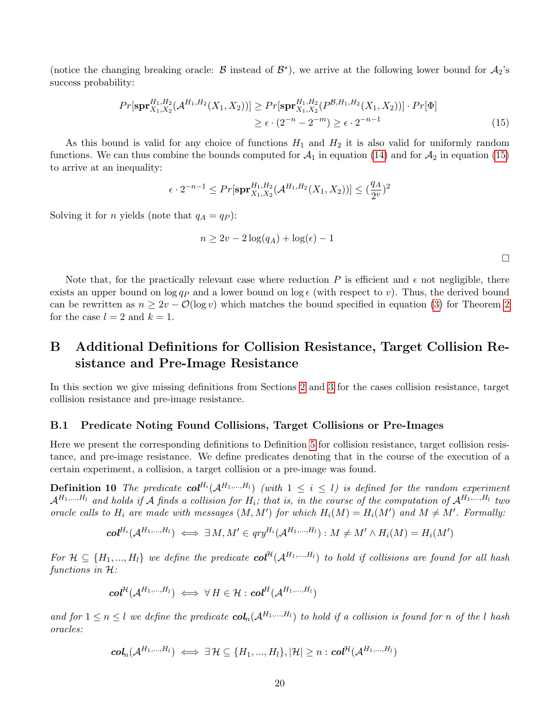(notice the changing breaking oracle:  $\beta$  instead of  $\beta^*$ ), we arrive at the following lower bound for  $\mathcal{A}_2$ 's success probability:

$$
Pr[\mathbf{spr}_{X_1, X_2}^{H_1, H_2}(\mathcal{A}^{H_1, H_2}(X_1, X_2))] \ge Pr[\mathbf{spr}_{X_1, X_2}^{H_1, H_2}(P^{\mathcal{B}, H_1, H_2}(X_1, X_2))] \cdot Pr[\Phi]
$$
  

$$
\ge \epsilon \cdot (2^{-n} - 2^{-m}) \ge \epsilon \cdot 2^{-n-1}
$$
 (15)

As this bound is valid for any choice of functions  $H_1$  and  $H_2$  it is also valid for uniformly random functions. We can thus combine the bounds computed for  $\mathcal{A}_1$  in equation [\(14\)](#page-18-2) and for  $\mathcal{A}_2$  in equation [\(15\)](#page-19-2) to arrive at an inequality:

$$
\epsilon \cdot 2^{-n-1} \le \Pr[\mathbf{spr}^{H_1, H_2}_{X_1, X_2}(\mathcal{A}^{H_1, H_2}(X_1, X_2))] \le (\frac{q_A}{2^v})^2
$$

Solving it for *n* yields (note that  $q_A = q_P$ ):

$$
n \ge 2v - 2\log(q_A) + \log(\epsilon) - 1
$$

<span id="page-19-2"></span> $\Box$ 

Note that, for the practically relevant case where reduction P is efficient and  $\epsilon$  not negligible, there exists an upper bound on  $\log q_P$  and a lower bound on  $\log \epsilon$  (with respect to v). Thus, the derived bound can be rewritten as  $n \geq 2v - \mathcal{O}(\log v)$  $n \geq 2v - \mathcal{O}(\log v)$  $n \geq 2v - \mathcal{O}(\log v)$  which matches the bound specified in equation [\(3\)](#page-7-3) for Theorem 2 for the case  $l = 2$  and  $k = 1$ .

# <span id="page-19-0"></span>B Additional Definitions for Collision Resistance, Target Collision Resistance and Pre-Image Resistance

In this section we give missing definitions from Sections [2](#page-3-2) and [3](#page-7-4) for the cases collision resistance, target collision resistance and pre-image resistance.

#### B.1 Predicate Noting Found Collisions, Target Collisions or Pre-Images

Here we present the corresponding definitions to Definition [5](#page-5-1) for collision resistance, target collision resistance, and pre-image resistance. We define predicates denoting that in the course of the execution of a certain experiment, a collision, a target collision or a pre-image was found.

<span id="page-19-1"></span>**Definition 10** The predicate  $col^{H_i}(A^{H_1,...,H_l})$  (with  $1 \leq i \leq l$ ) is defined for the random experiment  $\mathcal{A}^{H_1,...,H_l}$  and holds if A finds a collision for  $H_i$ ; that is, in the course of the computation of  $\mathcal{A}^{H_1,...,H_l}$  two oracle calls to  $H_i$  are made with messages  $(M, M')$  for which  $H_i(M) = H_i(M')$  and  $M \neq M'$ . Formally:

$$
\boldsymbol{col}^{H_i}(\mathcal{A}^{H_1,\ldots,H_l}) \iff \exists M,M' \in qry^{H_i}(\mathcal{A}^{H_1,\ldots,H_l}): M \neq M' \land H_i(M) = H_i(M')
$$

For  $\mathcal{H} \subseteq \{H_1, ..., H_l\}$  we define the predicate  $col^{\mathcal{H}}(\mathcal{A}^{H_1,...,H_l})$  to hold if collisions are found for all hash functions in H:

$$
\boldsymbol{col}^{\mathcal{H}}(\mathcal{A}^{H_1,...,H_l}) \iff \forall H \in \mathcal{H} : \boldsymbol{col}^H(\mathcal{A}^{H_1,...,H_l})
$$

and for  $1 \leq n \leq l$  we define the predicate  $col_n(\mathcal{A}^{H_1,...,H_l})$  to hold if a collision is found for n of the l hash oracles:

$$
\boldsymbol{col}_n(\mathcal{A}^{H_1,\dots,H_l}) \iff \exists \mathcal{H} \subseteq \{H_1,...,H_l\}, |\mathcal{H}| \geq n : \boldsymbol{col}^{\mathcal{H}}(\mathcal{A}^{H_1,...,H_l})
$$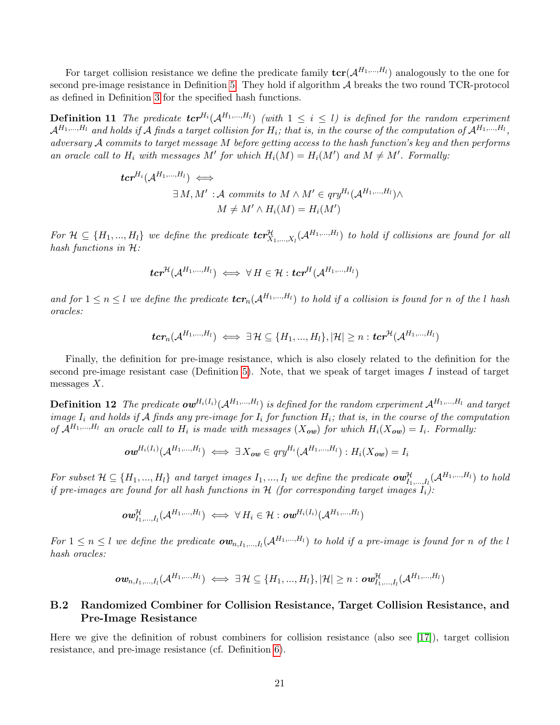<span id="page-20-3"></span>For target collision resistance we define the predicate family  $\mathbf{tr}(\mathcal{A}^{H_1,...,H_l})$  analogously to the one for second pre-image resistance in Definition [5.](#page-5-1) They hold if algorithm  $A$  breaks the two round TCR-protocol as defined in Definition [3](#page-4-2) for the specified hash functions.

**Definition 11** The predicate  $\mathbf{t} \mathbf{c} \mathbf{r}^{H_i} (\mathcal{A}^{H_1,...,H_l})$  (with  $1 \leq i \leq l$ ) is defined for the random experiment  ${\cal A}^{H_1,...,H_l}$  and holds if  ${\cal A}$  finds a target collision for  $H_i;$  that is, in the course of the computation of  ${\cal A}^{H_1,...,H_l},$ adversary A commits to target message M before getting access to the hash function's key and then performs an oracle call to  $H_i$  with messages M' for which  $H_i(M) = H_i(M')$  and  $M \neq M'$ . Formally:

<span id="page-20-0"></span>
$$
tcr^{H_i}(\mathcal{A}^{H_1,\ldots,H_l}) \iff
$$
  
\n
$$
\exists M, M' : \mathcal{A} \text{ commits to } M \land M' \in qry^{H_i}(\mathcal{A}^{H_1,\ldots,H_l}) \land
$$
  
\n
$$
M \neq M' \land H_i(M) = H_i(M')
$$

For  $\mathcal{H} \subseteq \{H_1, ..., H_l\}$  we define the predicate  $\mathbf{tcr}^{\mathcal{H}}_{X_1,...,X_l}(\mathcal{A}^{H_1,...,H_l})$  to hold if collisions are found for all hash functions in  $\mathcal{H}$ :

$$
\boldsymbol{tcr}^{\mathcal{H}}(\mathcal{A}^{H_1,...,H_l}) \iff \forall H \in \mathcal{H}: \boldsymbol{tcr}^H(\mathcal{A}^{H_1,...,H_l})
$$

and for  $1 \leq n \leq l$  we define the predicate  $\mathbf{tcr}_n(\mathcal{A}^{H_1,...,H_l})$  to hold if a collision is found for n of the l hash oracles:

<span id="page-20-1"></span>
$$
\boldsymbol{tcr}_n(\mathcal{A}^{H_1,...,H_l}) \iff \exists\,\mathcal{H}\subseteq \{H_1,...,H_l\}, |\mathcal{H}|\geq n:\boldsymbol{tcr}^{\mathcal{H}}(\mathcal{A}^{H_1,...,H_l})
$$

Finally, the definition for pre-image resistance, which is also closely related to the definition for the second pre-image resistant case (Definition [5\)](#page-5-1). Note, that we speak of target images I instead of target messages  $X$ .

**Definition 12** The predicate  $ow^{H_i(I_i)}(\mathcal{A}^{H_1,...,H_l})$  is defined for the random experiment  $\mathcal{A}^{H_1,...,H_l}$  and target image  $I_i$  and holds if A finds any pre-image for  $I_i$  for function  $H_i$ ; that is, in the course of the computation of  $\mathcal{A}^{H_1,\dots,H_l}$  an oracle call to  $H_i$  is made with messages  $(X_{ow})$  for which  $H_i(X_{ow}) = I_i$ . Formally:

$$
\boldsymbol{ow}^{H_i(I_i)}(\mathcal{A}^{H_1,\ldots,H_l}) \iff \exists X_{\boldsymbol{ow}} \in qry^{H_i}(\mathcal{A}^{H_1,\ldots,H_l}): H_i(X_{\boldsymbol{ow}}) = I_i
$$

For subset  $\mathcal{H} \subseteq \{H_1, ..., H_l\}$  and target images  $I_1, ..., I_l$  we define the predicate  $ow^{\mathcal{H}}_{I_1, ..., I_l}(\mathcal{A}^{H_1, ..., H_l})$  to hold if pre-images are found for all hash functions in  $H$  (for corresponding target images  $I_i$ ):

$$
\boldsymbol{ow}_{I_1,...,I_l}^{\mathcal{H}}(\mathcal{A}^{H_1,...,H_l}) \iff \forall H_i \in \mathcal{H}: \boldsymbol{ow}^{H_i(I_i)}(\mathcal{A}^{H_1,...,H_l})
$$

For  $1 \leq n \leq l$  we define the predicate  $ow_{n,I_1,...,I_l}(A^{H_1,...,H_l})$  to hold if a pre-image is found for n of the l hash oracles:

$$
\boldsymbol{ow}_{n,I_1,...,I_l}(\mathcal{A}^{H_1,...,H_l}) \iff \exists\,\mathcal{H}\subseteq\{H_1,...,H_l\}, |\mathcal{H}|\geq n: \boldsymbol{ow}_{I_1,...,I_l}^{\mathcal{H}}(\mathcal{A}^{H_1,...,H_l})
$$

### B.2 Randomized Combiner for Collision Resistance, Target Collision Resistance, and Pre-Image Resistance

<span id="page-20-2"></span>Here we give the definition of robust combiners for collision resistance (also see [\[17\]](#page-15-4)), target collision resistance, and pre-image resistance (cf. Definition [6\)](#page-6-3).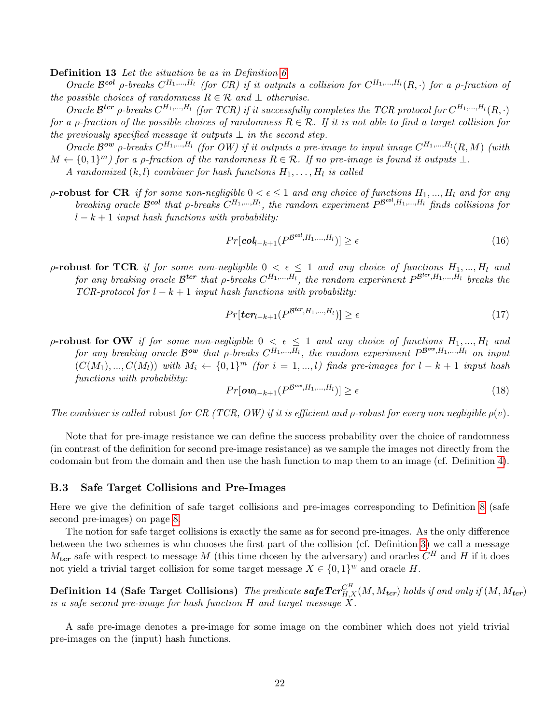Definition 13 Let the situation be as in Definition [6.](#page-6-3)

Oracle B<sup>col</sup>  $\rho$ -breaks  $C^{H_1,...,H_l}$  (for CR) if it outputs a collision for  $C^{H_1,...,H_l}(R,.)$  for a  $\rho$ -fraction of the possible choices of randomness  $R \in \mathcal{R}$  and  $\perp$  otherwise.

Oracle  $\mathcal{B}^{ter}$   $\rho$ -breaks  $C^{H_1,...,H_l}$  (for TCR) if it successfully completes the TCR protocol for  $C^{H_1,...,H_l}(R, \cdot)$ 

- for a *ρ*-fraction of the possible choices of randomness  $R \in \mathcal{R}$ . If it is not able to find a target collision for the previously specified message it outputs  $\perp$  in the second step.
- Oracle  $\mathcal{B}^{ow}$  p-breaks  $C^{H_1,...,H_l}$  (for OW) if it outputs a pre-image to input image  $C^{H_1,...,H_l}(R,M)$  (with  $M \leftarrow \{0,1\}^m$  for a p-fraction of the randomness  $R \in \mathcal{R}$ . If no pre-image is found it outputs  $\perp$ .
	- A randomized  $(k, l)$  combiner for hash functions  $H_1, \ldots, H_l$  is called
- ρ-robust for CR if for some non-negligible  $0 < \epsilon \leq 1$  and any choice of functions  $H_1, ..., H_l$  and for any breaking oracle  $\mathcal{B}^{col}$  that  $\rho$ -breaks  $C^{H_1,...,H_l}$ , the random experiment  $P^{\mathcal{B}^{col},H_1,...,H_l}$  finds collisions for  $l - k + 1$  input hash functions with probability:

$$
Pr[\boldsymbol{col}_{l-k+1}(P^{\mathcal{B}^{col},H_1,\ldots,H_l})] \ge \epsilon
$$
\n(16)

**ρ-robust for TCR** if for some non-negligible  $0 < \epsilon \leq 1$  and any choice of functions  $H_1, ..., H_l$  and for any breaking oracle  $\mathcal{B}^{ter}$  that  $\rho$ -breaks  $C^{H_1,...,H_l}$ , the random experiment  $P^{\mathcal{B}^{ter},H_1,...,H_l}$  breaks the  $TCR$ -protocol for  $l - k + 1$  input hash functions with probability:

$$
Pr[ter_{l-k+1}(P^{\mathcal{B}^{ter},H_1,\ldots,H_l})] \ge \epsilon
$$
\n<sup>(17)</sup>

 $\rho$ -robust for OW if for some non-negligible  $0 < \epsilon \leq 1$  and any choice of functions  $H_1, ..., H_l$  and for any breaking oracle  $\mathcal{B}^{ow}$  that  $\rho$ -breaks  $C^{H_1,...,H_l}$ , the random experiment  $P^{\mathcal{B}^{ow},H_1,...,H_l}$  on input  $(C(M_1),..., C(M_l))$  with  $M_i \leftarrow \{0,1\}^m$  (for  $i = 1,...,l$ ) finds pre-images for  $l - k + 1$  input hash functions with probability:

$$
Pr[\boldsymbol{ow}_{l-k+1}(P^{\mathcal{B}^{\text{ow}},H_1,\dots,H_l})] \ge \epsilon
$$
\n(18)

The combiner is called robust for CR (TCR, OW) if it is efficient and  $\rho$ -robust for every non negligible  $\rho(v)$ .

Note that for pre-image resistance we can define the success probability over the choice of randomness (in contrast of the definition for second pre-image resistance) as we sample the images not directly from the codomain but from the domain and then use the hash function to map them to an image (cf. Definition [4\)](#page-5-2).

#### <span id="page-21-2"></span>B.3 Safe Target Collisions and Pre-Images

Here we give the definition of safe target collisions and pre-images corresponding to Definition [8](#page-7-2) (safe second pre-images) on page [8.](#page-7-2)

The notion for safe target collisions is exactly the same as for second pre-images. As the only difference between the two schemes is who chooses the first part of the collision (cf. Definition [3\)](#page-4-2) we call a message  $M_{\text{ter}}$  safe with respect to message M (this time chosen by the adversary) and oracles  $C^H$  and H if it does not yield a trivial target collision for some target message  $X \in \{0,1\}^w$  and oracle H.

<span id="page-21-0"></span>Definition 14 (Safe Target Collisions) The predicate  $\textit{safeTer}^{{\it CH}}_{H,X}(M,M_{\textit{ter}})$  holds if and only if  $(M,M_{\textit{ter}})$ is a safe second pre-image for hash function  $H$  and target message  $\hat{X}$ .

<span id="page-21-1"></span>A safe pre-image denotes a pre-image for some image on the combiner which does not yield trivial pre-images on the (input) hash functions.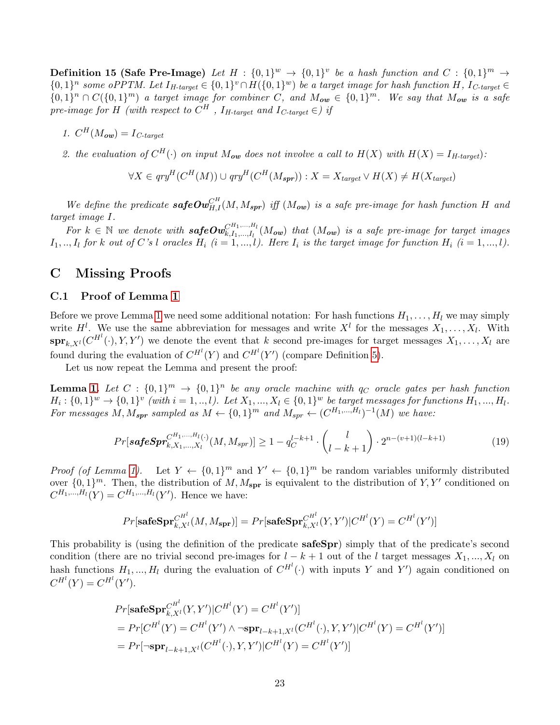**Definition 15 (Safe Pre-Image)** Let  $H : \{0,1\}^w \to \{0,1\}^v$  be a hash function and  $C : \{0,1\}^m \to$  $\{0,1\}^n$  some oPPTM. Let  $I_{H\text{-}target} \in \{0,1\}^v \cap H(\{0,1\}^w)$  be a target image for hash function H,  $I_{C\text{-}target} \in$  $\{0,1\}^n \cap C(\{0,1\}^m)$  a target image for combiner C, and  $M_{ow} \in \{0,1\}^m$ . We say that  $M_{ow}$  is a safe pre-image for H (with respect to  $C^H$  ,  $I_{H\textrm{-target}}$  and  $I_{C\textrm{-target}} \in$ ) if

1.  $C^H(M_{ow}) = I_{C\text{-}target}$ 

2. the evaluation of  $C^H(\cdot)$  on input  $M_{ow}$  does not involve a call to  $H(X)$  with  $H(X) = I_{H\textrm{-target}}$ ):

$$
\forall X \in qry^H(C^H(M)) \cup qry^H(C^H(M_{\text{spr}})) : X = X_{\text{target}} \vee H(X) \neq H(X_{\text{target}})
$$

We define the predicate  $\mathbf{safeOw}_{H,I}^{CH}(M, M_{\text{spr}})$  iff  $(M_{ow})$  is a safe pre-image for hash function H and target image I.

For  $k \in \mathbb{N}$  we denote with  $\textbf{safe} \textbf{O} \textbf{w}^{CH_1,...,H_l}_{k,1,...,I_l} (M_{\textbf{ow}})$  is a safe pre-image for target images  $I_1, ..., I_l$  for k out of C's l oracles  $H_i$   $(i = 1, ..., l)$ . Here  $I_i$  is the target image for function  $H_i$   $(i = 1, ..., l)$ .

# C Missing Proofs

#### <span id="page-22-0"></span>C.1 Proof of Lemma [1](#page-11-1)

Before we prove Lemma [1](#page-11-1) we need some additional notation: For hash functions  $H_1, \ldots, H_l$  we may simply write  $H^l$ . We use the same abbreviation for messages and write  $X^l$  for the messages  $X_1, \ldots, X_l$ . With  $\text{spr}_{k,X^{l}}(C^{H^{l}}(\cdot),Y,Y')$  we denote the event that k second pre-images for target messages  $X_{1},\ldots,X_{l}$  are found during the evaluation of  $C^{H^l}(Y)$  and  $C^{H^l}(Y')$  (compare Definition [5\)](#page-5-1).

Let us now repeat the Lemma and present the proof:

**Lemma [1.](#page-11-1)** Let  $C : \{0,1\}^m \to \{0,1\}^n$  be any oracle machine with  $q_C$  oracle gates per hash function  $H_i: \{0,1\}^w \to \{0,1\}^v$  (with  $i=1,..,l$ ). Let  $X_1,...,X_l \in \{0,1\}^w$  be target messages for functions  $H_1,...,H_l$ . For messages M,  $M_{spr}$  sampled as  $M \leftarrow \{0,1\}^m$  and  $M_{spr} \leftarrow (C^{H_1,...,H_l})^{-1}(M)$  we have:

$$
Pr[\mathit{safeSpr}_{k,X_1,\ldots,X_l}^{C^{H_1,\ldots,H_l(\cdot)}}(M,M_{spr})] \ge 1 - q_C^{l-k+1} \cdot \binom{l}{l-k+1} \cdot 2^{n-(v+1)(l-k+1)} \tag{19}
$$

*Proof (of Lemma [1\)](#page-11-1)*. Let  $Y \leftarrow \{0,1\}^m$  and  $Y' \leftarrow \{0,1\}^m$  be random variables uniformly distributed over  $\{0,1\}^m$ . Then, the distribution of  $M, M_{\rm spr}$  is equivalent to the distribution of Y, Y' conditioned on  $C^{H_1,...,H_l}(Y) = C^{H_1,...,H_l}(Y')$ . Hence we have:

$$
Pr[\mathbf{safeSpr}_{k,X^l}^{C^{H^l}}(M,M_{\mathbf{spr}})] = Pr[\mathbf{safeSpr}_{k,X^l}^{C^{H^l}}(Y,Y')|C^{H^l}(Y) = C^{H^l}(Y')]
$$

This probability is (using the definition of the predicate **safeSpr**) simply that of the predicate's second condition (there are no trivial second pre-images for  $l - k + 1$  out of the l target messages  $X_1, ..., X_l$  on hash functions  $H_1, ..., H_l$  during the evaluation of  $C^{H^l}(\cdot)$  with inputs Y and Y') again conditioned on  $C^{H^l}(Y) = C^{H^l}(Y').$ 

$$
Pr[\mathbf{safeSpr}_{k,X^l}^{CH^l}(Y,Y')|C^{H^l}(Y) = C^{H^l}(Y')]
$$
  
= 
$$
Pr[C^{H^l}(Y) = C^{H^l}(Y') \land \neg \mathbf{spr}_{l-k+1,X^l}(C^{H^l}(\cdot), Y, Y')|C^{H^l}(Y) = C^{H^l}(Y')]
$$
  
= 
$$
Pr[\neg \mathbf{spr}_{l-k+1,X^l}(C^{H^l}(\cdot), Y, Y')|C^{H^l}(Y) = C^{H^l}(Y')]
$$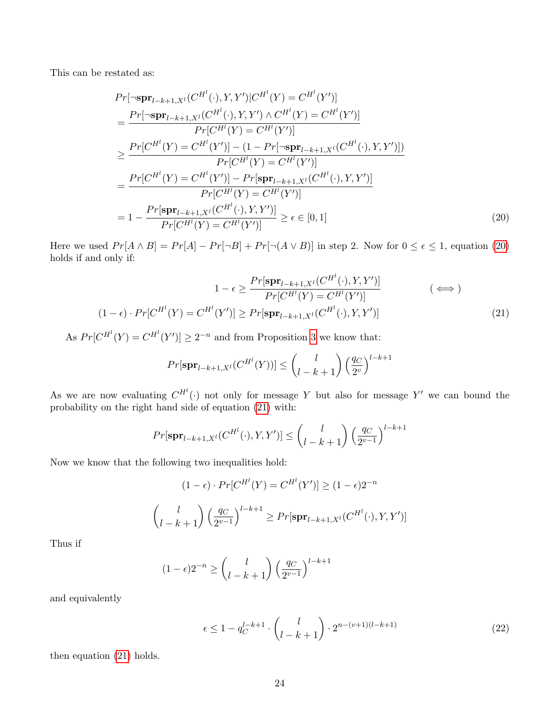This can be restated as:

$$
Pr[\neg \mathbf{spr}_{l-k+1,X^l}(C^{H^l}(\cdot), Y, Y')|C^{H^l}(Y) = C^{H^l}(Y')]
$$
\n
$$
= \frac{Pr[\neg \mathbf{spr}_{l-k+1,X^l}(C^{H^l}(\cdot), Y, Y') \wedge C^{H^l}(Y) = C^{H^l}(Y')]}{Pr[C^{H^l}(Y) = C^{H^l}(Y')]}
$$
\n
$$
\geq \frac{Pr[C^{H^l}(Y) = C^{H^l}(Y')] - (1 - Pr[\neg \mathbf{spr}_{l-k+1,X^l}(C^{H^l}(\cdot), Y, Y')])}{Pr[C^{H^l}(Y) = C^{H^l}(Y')]}
$$
\n
$$
= \frac{Pr[C^{H^l}(Y) = C^{H^l}(Y')] - Pr[\mathbf{spr}_{l-k+1,X^l}(C^{H^l}(\cdot), Y, Y')]}{Pr[C^{H^l}(Y) = C^{H^l}(Y')]}
$$
\n
$$
= 1 - \frac{Pr[\mathbf{spr}_{l-k+1,X^l}(C^{H^l}(\cdot), Y, Y')]}{Pr[C^{H^l}(Y) = C^{H^l}(Y')]} \geq \epsilon \in [0, 1]
$$
\n(20)

Here we used  $Pr[A \wedge B] = Pr[A] - Pr[\neg B] + Pr[\neg (A \vee B)]$  in step 2. Now for  $0 \le \epsilon \le 1$ , equation [\(20\)](#page-23-0) holds if and only if:

$$
1 - \epsilon \ge \frac{Pr[\text{spr}_{l-k+1,X^l}(C^{H^l}(\cdot), Y, Y')] }{Pr[C^{H^l}(Y) = C^{H^l}(Y')]}
$$
 (\iff)  
(1 - \epsilon) \cdot Pr[C^{H^l}(Y) = C^{H^l}(Y')] \ge Pr[\text{spr}\_{l-k+1,X^l}(C^{H^l}(\cdot), Y, Y')] \tag{21}

As  $Pr[C^{H^l}(Y) = C^{H^l}(Y')] \ge 2^{-n}$  and from Proposition [3](#page-17-4) we know that:

<span id="page-23-1"></span><span id="page-23-0"></span>
$$
Pr[\mathbf{spr}_{l-k+1,X^l}(C^{H^l}(Y))] \leq \binom{l}{l-k+1} \left(\frac{q_C}{2^v}\right)^{l-k+1}
$$

As we are now evaluating  $C^{H}(\cdot)$  not only for message Y but also for message Y' we can bound the probability on the right hand side of equation [\(21\)](#page-23-1) with:

$$
Pr[\mathbf{spr}_{l-k+1,X^l}(C^{H^l}(\cdot),Y,Y')] \leq {l \choose l-k+1} \left(\frac{q_C}{2^{v-1}}\right)^{l-k+1}
$$

Now we know that the following two inequalities hold:

$$
(1 - \epsilon) \cdot Pr[C^{H^l}(Y) = C^{H^l}(Y')] \ge (1 - \epsilon)2^{-n}
$$

$$
\left(\frac{l}{l - k + 1}\right) \left(\frac{q_C}{2^{v-1}}\right)^{l - k + 1} \ge Pr[\mathbf{spr}_{l - k + 1, X^l}(C^{H^l}(\cdot), Y, Y')]
$$

Thus if

$$
(1 - \epsilon)2^{-n} \ge \binom{l}{l - k + 1} \left(\frac{q_C}{2^{v-1}}\right)^{l - k + 1}
$$

and equivalently

$$
\epsilon \le 1 - q_C^{l-k+1} \cdot \binom{l}{l-k+1} \cdot 2^{n-(v+1)(l-k+1)} \tag{22}
$$

then equation [\(21\)](#page-23-1) holds.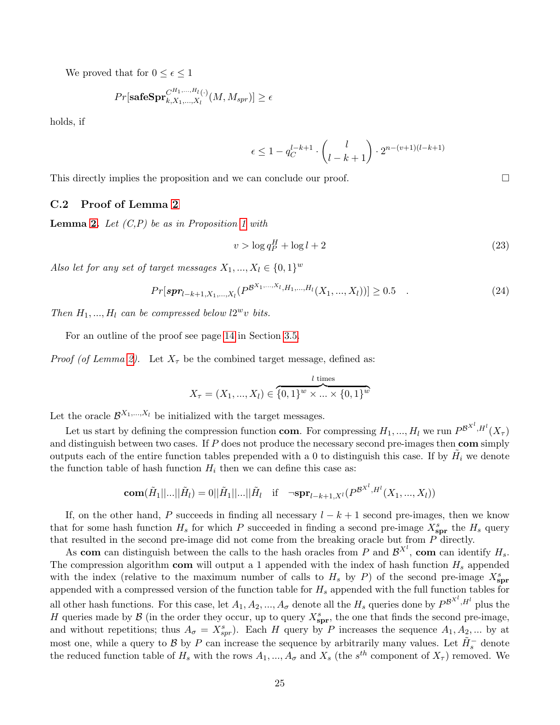We proved that for  $0 \leq \epsilon \leq 1$ 

$$
Pr[\mathbf{safeSpr}_{k,X_1,\ldots,X_l}^{C^{H_1,\ldots,H_l}(\cdot)}(M,M_{spr})] \ge \epsilon
$$

holds, if

$$
\epsilon \leq 1 - q_C^{l-k+1}\cdot \binom{l}{l-k+1}\cdot 2^{n-(v+1)(l-k+1)}
$$

This directly implies the proposition and we can conclude our proof.

#### <span id="page-24-1"></span>C.2 Proof of Lemma [2](#page-12-1)

**Lemma [2.](#page-12-1)** Let  $(C, P)$  be as in Proposition [1](#page-8-0) with

<span id="page-24-0"></span>
$$
v > \log q_P^H + \log l + 2 \tag{23}
$$

Also let for any set of target messages  $X_1, ..., X_l \in \{0, 1\}^w$ 

$$
Pr[\text{spr}_{l-k+1, X_1, \dots, X_l}(P^{\mathcal{B}^{X_1, \dots, X_l}, H_1, \dots, H_l}(X_1, \dots, X_l))] \ge 0.5 \quad . \tag{24}
$$

Then  $H_1, ..., H_l$  can be compressed below  $l2^w v$  bits.

For an outline of the proof see page [14](#page-13-0) in Section [3.5.](#page-13-0)

*Proof (of Lemma [2\)](#page-12-1).* Let  $X_{\tau}$  be the combined target message, defined as:

$$
X_{\tau} = (X_1, ..., X_l) \in \underbrace{\{0, 1\}^w \times ... \times \{0, 1\}^w}_{\tau \text{ times}}
$$

Let the oracle  $\mathcal{B}^{X_1,\ldots,X_l}$  be initialized with the target messages.

Let us start by defining the compression function com. For compressing  $H_1, ..., H_l$  we run  $P^{\mathcal{B}^{X^l}, H^l}(X_\tau)$ and distinguish between two cases. If  $P$  does not produce the necessary second pre-images then **com** simply outputs each of the entire function tables prepended with a 0 to distinguish this case. If by  $\tilde{H}_i$  we denote the function table of hash function  $H_i$  then we can define this case as:

com
$$
(\tilde{H}_1||...||\tilde{H}_l) = 0||\tilde{H}_1||...||\tilde{H}_l
$$
 if  $\neg$ spr<sub>l-k+1,X<sup>l</sup></sub> $(P^{\mathcal{B}^{X^l},H^l}(X_1,...,X_l))$ 

If, on the other hand, P succeeds in finding all necessary  $l - k + 1$  second pre-images, then we know that for some hash function  $H_s$  for which P succeeded in finding a second pre-image  $X_{\text{spr}}^s$  the  $H_s$  query that resulted in the second pre-image did not come from the breaking oracle but from P directly.

As com can distinguish between the calls to the hash oracles from P and  $\mathcal{B}^{X^l}$ , com can identify  $H_s$ . The compression algorithm com will output a 1 appended with the index of hash function  $H_s$  appended with the index (relative to the maximum number of calls to  $H_s$  by P) of the second pre-image  $X_{\text{spr}}^s$ appended with a compressed version of the function table for  $H_s$  appended with the full function tables for all other hash functions. For this case, let  $A_1, A_2, ..., A_\sigma$  denote all the  $H_s$  queries done by  $P^{\mathcal{B}^{X^l}, H^l}$  plus the H queries made by  $\mathcal{B}$  (in the order they occur, up to query  $X_{\text{spr}}^s$ , the one that finds the second pre-image, and without repetitions; thus  $A_{\sigma} = X_{spr}^s$ ). Each H query by P increases the sequence  $A_1, A_2, ...$  by at most one, while a query to B by P can increase the sequence by arbitrarily many values. Let  $\tilde{H}^-_s$  denote the reduced function table of  $H_s$  with the rows  $A_1, ..., A_{\sigma}$  and  $X_s$  (the  $s^{th}$  component of  $X_{\tau}$ ) removed. We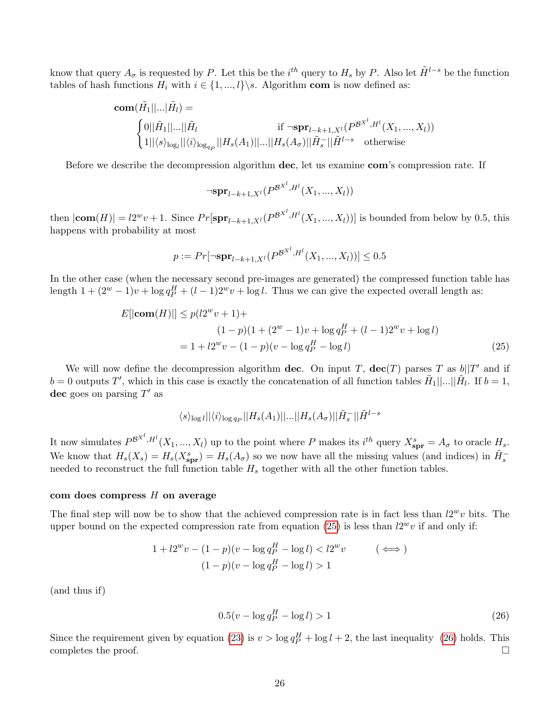know that query  $A_{\sigma}$  is requested by P. Let this be the i<sup>th</sup> query to  $H_s$  by P. Also let  $\tilde{H}^{l-s}$  be the function tables of hash functions  $H_i$  with  $i \in \{1, ..., l\} \setminus s$ . Algorithm com is now defined as:

com
$$
(\tilde{H}_1||...|\tilde{H}_l)
$$
 =  
\n
$$
\begin{cases}\n0||\tilde{H}_1||...||\tilde{H}_l & \text{if } \neg \mathbf{spr}_{l-k+1,X^l}(P^{\mathcal{B}^{X^l},H^l}(X_1,...,X_l)) \\
1||\langle s \rangle_{\log_l}||\langle i \rangle_{\log_{q_P}}||H_s(A_1)||...||H_s(A_\sigma)||\tilde{H}_s^-||\tilde{H}^{l-s} & \text{otherwise}\n\end{cases}
$$

Before we describe the decompression algorithm dec, let us examine com's compression rate. If

$$
\neg \mathbf{spr}_{l-k+1,X^l}(P^{\mathcal{B}^{X^l},H^l}(X_1,...,X_l))
$$

then  $|\text{com}(H)| = l2^w v + 1$ . Since  $Pr[\text{spr}_{l-k+1,X^l}(P^{B^{X^l},H^l}(X_1,...,X_l))]$  is bounded from below by 0.5, this happens with probability at most

$$
p := Pr[\neg \mathbf{spr}_{l-k+1,X^l}(P^{\mathcal{B}^{X^l},H^l}(X_1,...,X_l))] \le 0.5
$$

In the other case (when the necessary second pre-images are generated) the compressed function table has length  $1 + (2^w - 1)v + \log q_P^H + (l - 1)2^w v + \log l$ . Thus we can give the expected overall length as:

$$
E[|\mathbf{com}(H)|] \le p(l2^w v + 1) +
$$
  
\n
$$
(1 - p)(1 + (2^w - 1)v + \log q_P^H + (l - 1)2^w v + \log l)
$$
  
\n
$$
= 1 + l2^w v - (1 - p)(v - \log q_P^H - \log l)
$$
\n(25)

We will now define the decompression algorithm **dec**. On input T,  $\text{dec}(T)$  parses T as  $b||T'$  and if  $b = 0$  outputs T', which in this case is exactly the concatenation of all function tables  $\tilde{H}_1 ||...|| \tilde{H}_l$ . If  $b = 1$ , dec goes on parsing  $T'$  as

<span id="page-25-0"></span>
$$
\langle s \rangle_{\log l} || \langle i \rangle_{\log q_P} || H_s(A_1) ||...|| H_s(A_\sigma) || \tilde{H}_s^- || \tilde{H}^{l-s}
$$

It now simulates  $P^{\mathcal{B}^{X^l},H^l}(X_1,...,X_l)$  up to the point where P makes its  $i^{th}$  query  $X^s_{\text{spr}} = A_{\sigma}$  to oracle  $H_s$ . We know that  $H_s(X_s) = H_s(X_{\text{spr}}^s) = H_s(A_\sigma)$  so we now have all the missing values (and indices) in  $\tilde{H}_s^$ needed to reconstruct the full function table  $H_s$  together with all the other function tables.

#### com does compress  $H$  on average

The final step will now be to show that the achieved compression rate is in fact less than  $l2^w v$  bits. The upper bound on the expected compression rate from equation [\(25\)](#page-25-0) is less than  $l2^wv$  if and only if:

$$
1 + l2^w v - (1 - p)(v - \log q_P^H - \log l) < l2^w v \quad (\iff) \quad (1 - p)(v - \log q_P^H - \log l) > 1
$$

(and thus if)

<span id="page-25-1"></span>
$$
0.5(v - \log q_P^H - \log l) > 1\tag{26}
$$

Since the requirement given by equation [\(23\)](#page-24-0) is  $v > \log q_P^H + \log l + 2$ , the last inequality [\(26\)](#page-25-1) holds. This completes the proof.  $\Box$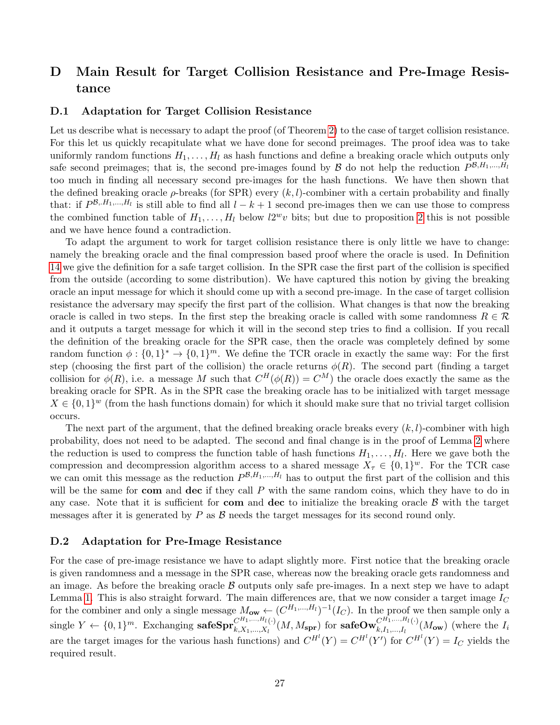# <span id="page-26-0"></span>D Main Result for Target Collision Resistance and Pre-Image Resistance

#### D.1 Adaptation for Target Collision Resistance

Let us describe what is necessary to adapt the proof (of Theorem [2\)](#page-7-0) to the case of target collision resistance. For this let us quickly recapitulate what we have done for second preimages. The proof idea was to take uniformly random functions  $H_1, \ldots, H_l$  as hash functions and define a breaking oracle which outputs only safe second preimages; that is, the second pre-images found by  $\beta$  do not help the reduction  $P^{\mathcal{B},H_1,...,H_l}$ too much in finding all necessary second pre-images for the hash functions. We have then shown that the defined breaking oracle  $\rho$ -breaks (for SPR) every  $(k, l)$ -combiner with a certain probability and finally that: if  $P^{B,H_1,...,H_l}$  is still able to find all  $l-k+1$  second pre-images then we can use those to compress the combined function table of  $H_1, \ldots, H_l$  below  $l2^w v$  bits; but due to proposition [2](#page-9-0) this is not possible and we have hence found a contradiction.

To adapt the argument to work for target collision resistance there is only little we have to change: namely the breaking oracle and the final compression based proof where the oracle is used. In Definition [14](#page-21-0) we give the definition for a safe target collision. In the SPR case the first part of the collision is specified from the outside (according to some distribution). We have captured this notion by giving the breaking oracle an input message for which it should come up with a second pre-image. In the case of target collision resistance the adversary may specify the first part of the collision. What changes is that now the breaking oracle is called in two steps. In the first step the breaking oracle is called with some randomness  $R \in \mathcal{R}$ and it outputs a target message for which it will in the second step tries to find a collision. If you recall the definition of the breaking oracle for the SPR case, then the oracle was completely defined by some random function  $\phi: \{0,1\}^* \to \{0,1\}^m$ . We define the TCR oracle in exactly the same way: For the first step (choosing the first part of the collision) the oracle returns  $\phi(R)$ . The second part (finding a target collision for  $\phi(R)$ , i.e. a message M such that  $C^H(\phi(R)) = C^M$  the oracle does exactly the same as the breaking oracle for SPR. As in the SPR case the breaking oracle has to be initialized with target message  $X \in \{0,1\}^w$  (from the hash functions domain) for which it should make sure that no trivial target collision occurs.

The next part of the argument, that the defined breaking oracle breaks every  $(k, l)$ -combiner with high probability, does not need to be adapted. The second and final change is in the proof of Lemma [2](#page-12-1) where the reduction is used to compress the function table of hash functions  $H_1, \ldots, H_l$ . Here we gave both the compression and decompression algorithm access to a shared message  $X_{\tau} \in \{0,1\}^w$ . For the TCR case we can omit this message as the reduction  $P^{(B,H_1,...,H_l)}$  has to output the first part of the collision and this will be the same for com and dec if they call  $P$  with the same random coins, which they have to do in any case. Note that it is sufficient for com and dec to initialize the breaking oracle  $\beta$  with the target messages after it is generated by  $P$  as  $B$  needs the target messages for its second round only.

#### D.2 Adaptation for Pre-Image Resistance

For the case of pre-image resistance we have to adapt slightly more. First notice that the breaking oracle is given randomness and a message in the SPR case, whereas now the breaking oracle gets randomness and an image. As before the breaking oracle  $\beta$  outputs only safe pre-images. In a next step we have to adapt Lemma [1.](#page-11-1) This is also straight forward. The main differences are, that we now consider a target image  $I_C$ for the combiner and only a single message  $M_{ow} \leftarrow (C^{H_1,...,H_l})^{-1}(I_C)$ . In the proof we then sample only a single  $Y \leftarrow \{0,1\}^m$ . Exchanging safeSpr ${}_{k,X_1,...,X_l}^{C^{H_1,...,H_l}(\cdot)}(M, M_{\text{spr}})$  for safeOw ${}_{k,I_1,...,I_l}^{C^{H_1,...,H_l}(\cdot)}(M_{\text{ow}})$  (where the  $I_i$ are the target images for the various hash functions) and  $C^{H} (Y) = C^{H} (Y')$  for  $C^{H} (Y) = I_C$  yields the required result.